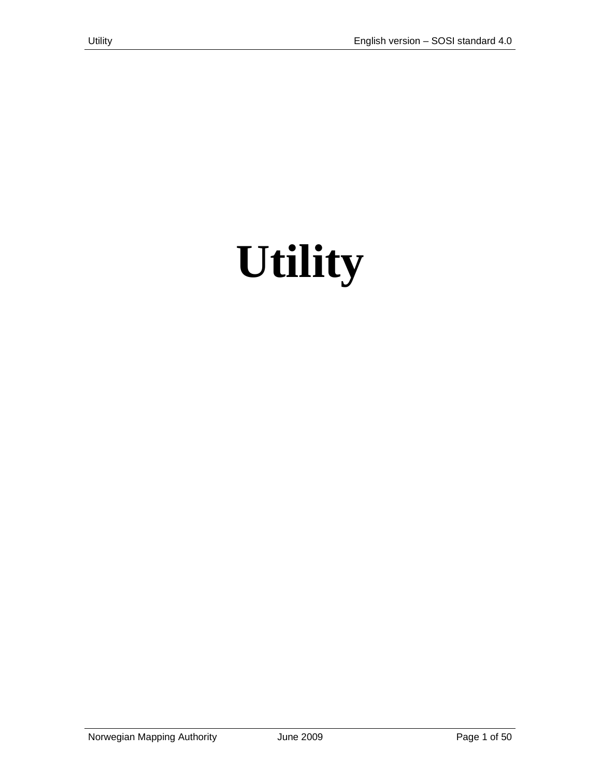# **Utility**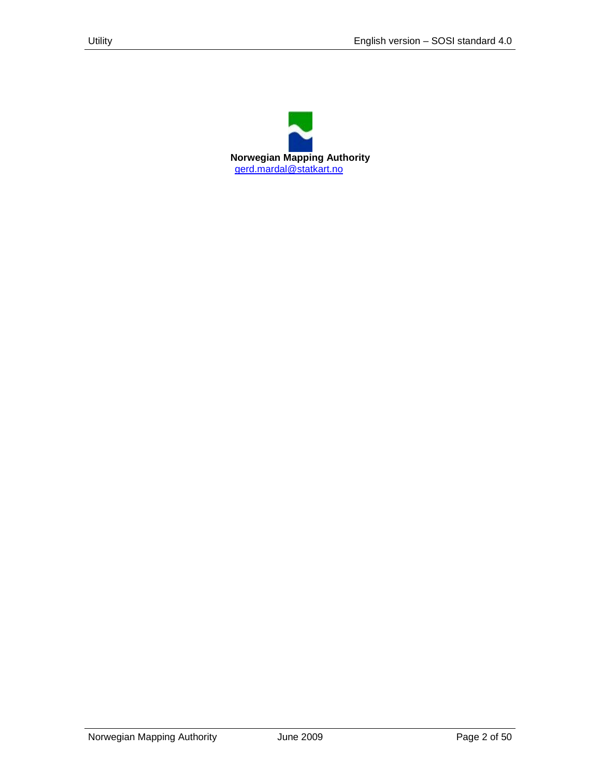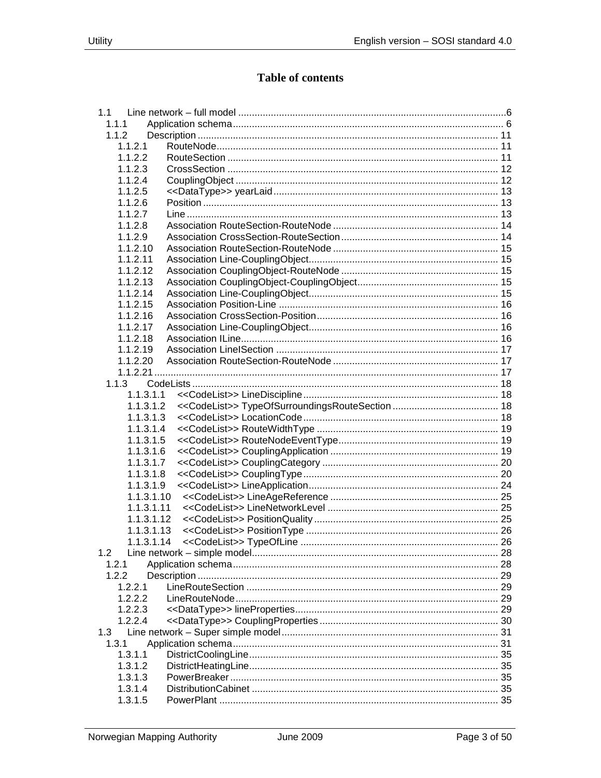# **Table of contents**

| 1.1        |  |
|------------|--|
| 1.1.1      |  |
| 1.1.2      |  |
| 1.1.2.1    |  |
| 1.1.2.2    |  |
| 1.1.2.3    |  |
| 1.1.2.4    |  |
| 1.1.2.5    |  |
| 1.1.2.6    |  |
| 1.1.2.7    |  |
| 1.1.2.8    |  |
| 1.1.2.9    |  |
| 1.1.2.10   |  |
| 1.1.2.11   |  |
| 1.1.2.12   |  |
| 1.1.2.13   |  |
| 1.1.2.14   |  |
| 1.1.2.15   |  |
|            |  |
| 1.1.2.16   |  |
| 1.1.2.17   |  |
| 1.1.2.18   |  |
| 1.1.2.19   |  |
| 1.1.2.20   |  |
|            |  |
| 1.1.3      |  |
| 1.1.3.1.1  |  |
| 1.1.3.1.2  |  |
| 1.1.3.1.3  |  |
| 1.1.3.1.4  |  |
| 1.1.3.1.5  |  |
| 1.1.3.1.6  |  |
| 1.1.3.1.7  |  |
| 1.1.3.1.8  |  |
| 1.1.3.1.9  |  |
| 1.1.3.1.10 |  |
| 1.1.3.1.11 |  |
| 1.1.3.1.12 |  |
| 1.1.3.1.13 |  |
| 1.1.3.1.14 |  |
| 1.2        |  |
| 1.2.1      |  |
| 1.2.2      |  |
| 1.2.2.1    |  |
| 1.2.2.2    |  |
| 1.2.2.3    |  |
| 1.2.2.4    |  |
| 1.3        |  |
|            |  |
| 1.3.1      |  |
| 1.3.1.1    |  |
| 1.3.1.2    |  |
| 1.3.1.3    |  |
| 1.3.1.4    |  |
| 1.3.1.5    |  |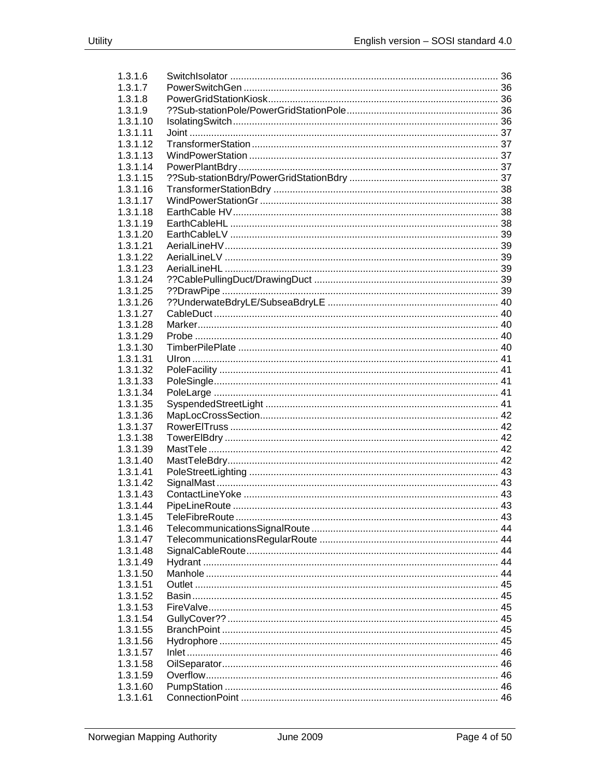| 1.3.1.6  |  |
|----------|--|
| 1.3.1.7  |  |
| 1.3.1.8  |  |
| 1.3.1.9  |  |
| 1.3.1.10 |  |
| 1.3.1.11 |  |
| 1.3.1.12 |  |
| 1.3.1.13 |  |
| 1.3.1.14 |  |
| 1.3.1.15 |  |
| 1.3.1.16 |  |
| 1.3.1.17 |  |
| 1.3.1.18 |  |
| 1.3.1.19 |  |
| 1.3.1.20 |  |
| 1.3.1.21 |  |
| 1.3.1.22 |  |
| 1.3.1.23 |  |
| 1.3.1.24 |  |
| 1.3.1.25 |  |
| 1.3.1.26 |  |
| 1.3.1.27 |  |
| 1.3.1.28 |  |
| 1.3.1.29 |  |
| 1.3.1.30 |  |
| 1.3.1.31 |  |
| 1.3.1.32 |  |
| 1.3.1.33 |  |
| 1.3.1.34 |  |
| 1.3.1.35 |  |
| 1.3.1.36 |  |
| 1.3.1.37 |  |
| 1.3.1.38 |  |
| 1.3.1.39 |  |
| 1.3.1.40 |  |
| 1.3.1.41 |  |
| 1.3.1.42 |  |
| 1.3.1.43 |  |
| 1.3.1.44 |  |
| 1.3.1.45 |  |
| 1.3.1.46 |  |
| 1.3.1.47 |  |
| 1.3.1.48 |  |
| 1.3.1.49 |  |
| 1.3.1.50 |  |
| 1.3.1.51 |  |
| 1.3.1.52 |  |
|          |  |
| 1.3.1.53 |  |
| 1.3.1.54 |  |
| 1.3.1.55 |  |
| 1.3.1.56 |  |
| 1.3.1.57 |  |
| 1.3.1.58 |  |
| 1.3.1.59 |  |
| 1.3.1.60 |  |
| 1.3.1.61 |  |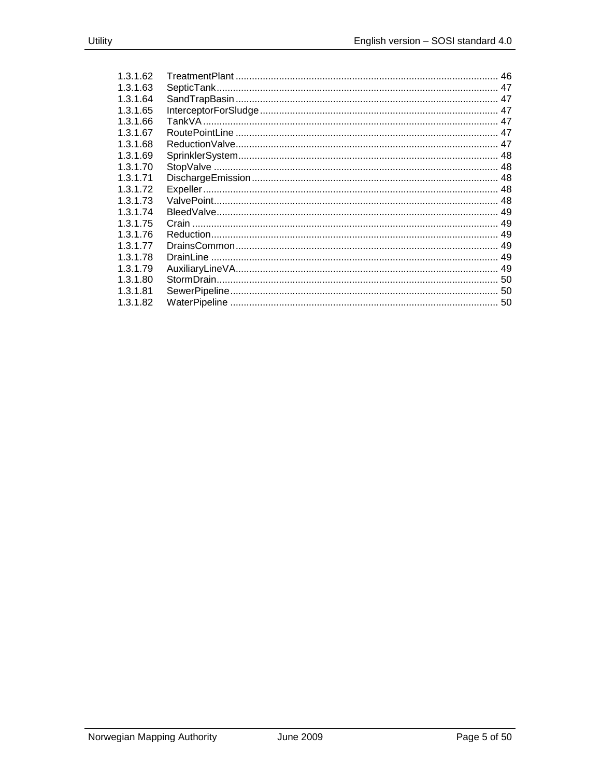| 1.3.1.62  |  |
|-----------|--|
| 1.3.1.63  |  |
| 1.3.1.64  |  |
| 1.3.1.65  |  |
| 1.3.1.66  |  |
| 1.3.1.67  |  |
| 1.3.1.68  |  |
| 1.3.1.69  |  |
| 1.3.1.70  |  |
| 1.3.1.71  |  |
| 1.3.1.72  |  |
| 1.3.1.73  |  |
| 1 3 1 74  |  |
| 1 3 1 7 5 |  |
| 1 3 1 7 6 |  |
| 1 3 1 77  |  |
| 1.3.1.78  |  |
| 1.3.1.79  |  |
| 1.3.1.80  |  |
| 1.3.1.81  |  |
| 1.3.1.82  |  |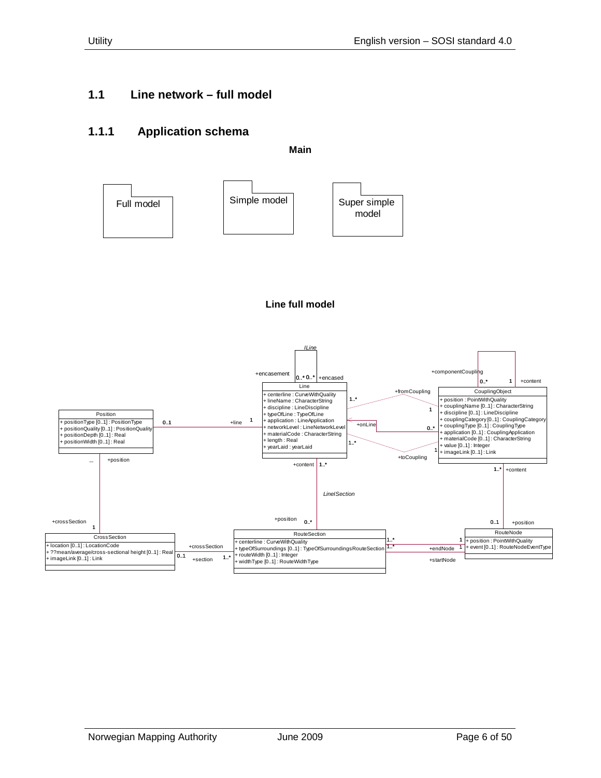#### <span id="page-5-1"></span><span id="page-5-0"></span>**1.1.1 Application schema**

**Main**





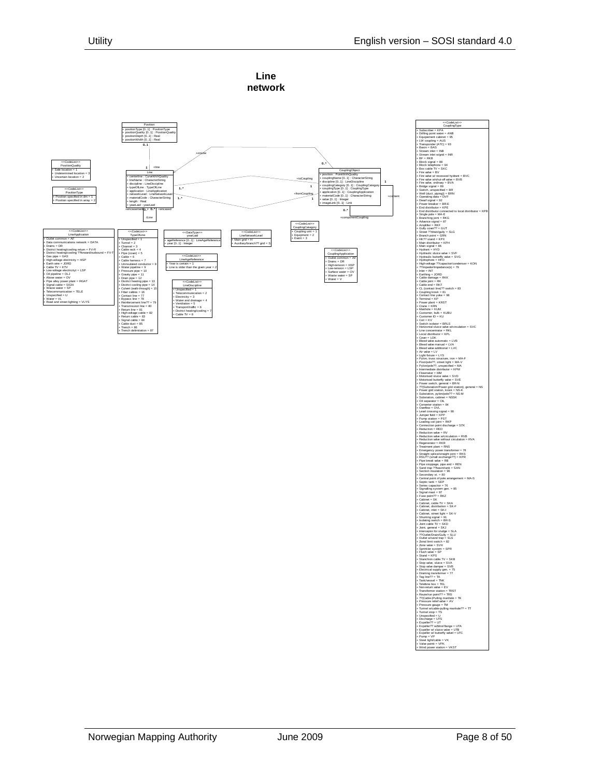

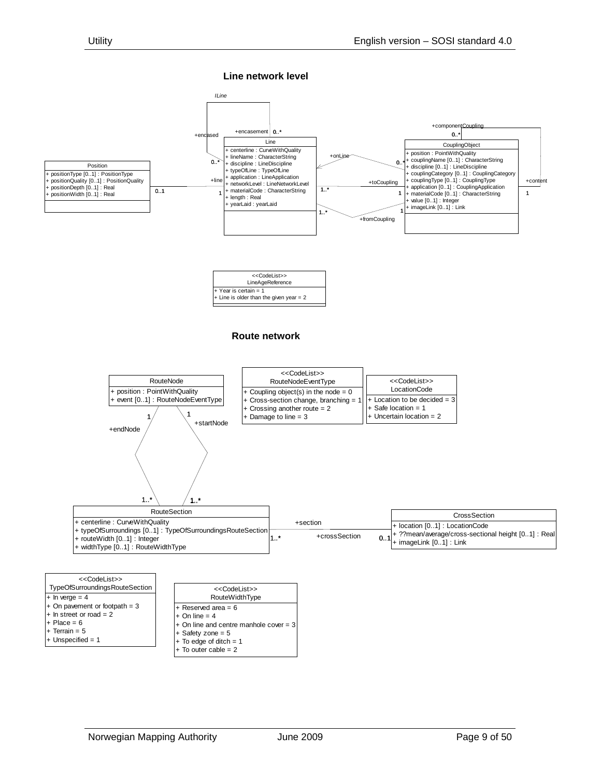**Line network level**



#### **Route network**



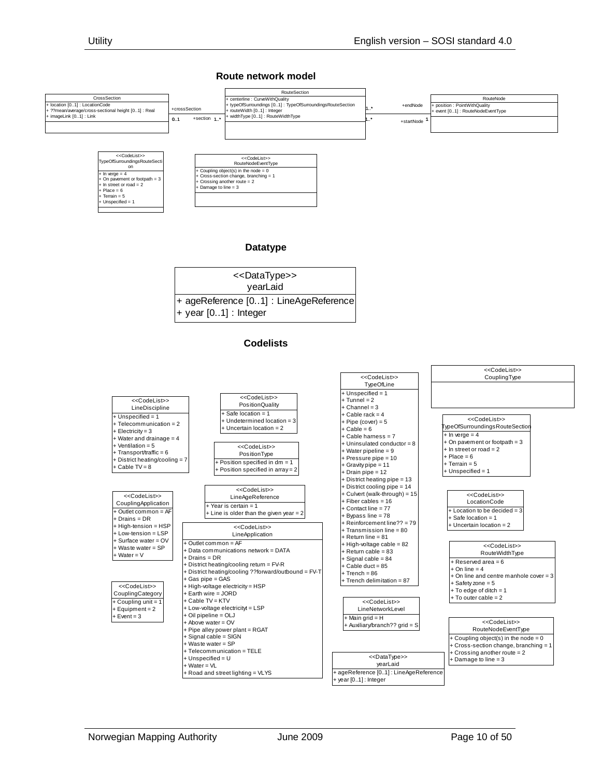#### **Route network model**

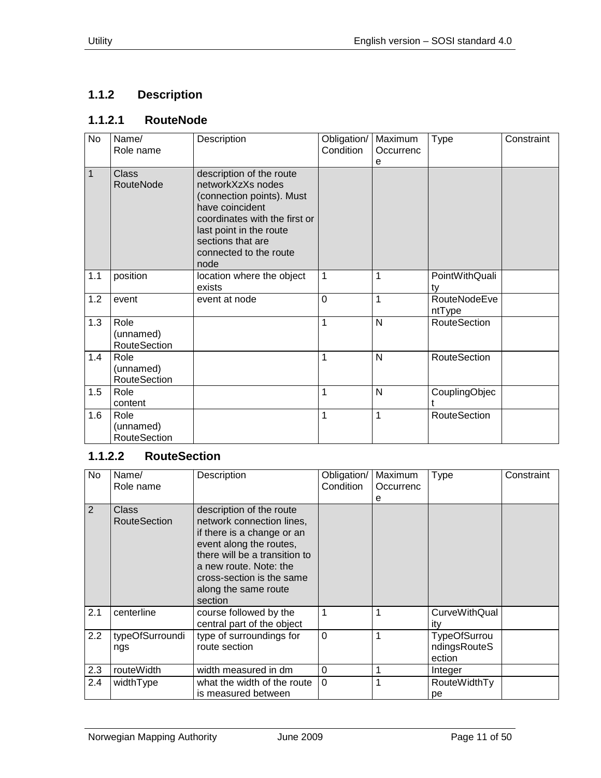# <span id="page-10-0"></span>**1.1.2 Description**

# <span id="page-10-1"></span>**1.1.2.1 RouteNode**

| No  | Name/<br>Role name                       | Description                                                                                                                                                                                                      | Obligation/<br>Condition | Maximum<br>Occurrenc<br>е | <b>Type</b>            | Constraint |
|-----|------------------------------------------|------------------------------------------------------------------------------------------------------------------------------------------------------------------------------------------------------------------|--------------------------|---------------------------|------------------------|------------|
| 1   | <b>Class</b><br>RouteNode                | description of the route<br>networkXzXs nodes<br>(connection points). Must<br>have coincident<br>coordinates with the first or<br>last point in the route<br>sections that are<br>connected to the route<br>node |                          |                           |                        |            |
| 1.1 | position                                 | location where the object<br>exists                                                                                                                                                                              | 1                        | 1                         | PointWithQuali<br>tv   |            |
| 1.2 | event                                    | event at node                                                                                                                                                                                                    | $\overline{0}$           | 1                         | RouteNodeEve<br>ntType |            |
| 1.3 | Role<br>(unnamed)<br><b>RouteSection</b> |                                                                                                                                                                                                                  | 1                        | N                         | <b>RouteSection</b>    |            |
| 1.4 | Role<br>(unnamed)<br>RouteSection        |                                                                                                                                                                                                                  | 1                        | N                         | <b>RouteSection</b>    |            |
| 1.5 | Role<br>content                          |                                                                                                                                                                                                                  | 1                        | N                         | CouplingObjec          |            |
| 1.6 | Role<br>(unnamed)<br><b>RouteSection</b> |                                                                                                                                                                                                                  | 1                        | 1                         | RouteSection           |            |

# <span id="page-10-2"></span>**1.1.2.2 RouteSection**

| <b>No</b> | Name/<br>Role name           | Description                                                                                                                                                                                                                               | Obligation/<br>Condition | Maximum<br>Occurrenc<br>е | <b>Type</b>                                   | Constraint |
|-----------|------------------------------|-------------------------------------------------------------------------------------------------------------------------------------------------------------------------------------------------------------------------------------------|--------------------------|---------------------------|-----------------------------------------------|------------|
| 2         | Class<br><b>RouteSection</b> | description of the route<br>network connection lines,<br>if there is a change or an<br>event along the routes,<br>there will be a transition to<br>a new route. Note: the<br>cross-section is the same<br>along the same route<br>section |                          |                           |                                               |            |
| 2.1       | centerline                   | course followed by the<br>central part of the object                                                                                                                                                                                      | 1                        | 1                         | <b>CurveWithQual</b><br>ity                   |            |
| 2.2       | typeOfSurroundi<br>ngs       | type of surroundings for<br>route section                                                                                                                                                                                                 | $\Omega$                 | 1                         | <b>TypeOfSurrou</b><br>ndingsRouteS<br>ection |            |
| 2.3       | routeWidth                   | width measured in dm                                                                                                                                                                                                                      | 0                        | 1                         | Integer                                       |            |
| 2.4       | widthType                    | what the width of the route<br>is measured between                                                                                                                                                                                        | $\Omega$                 | 1                         | <b>RouteWidthTy</b><br>рe                     |            |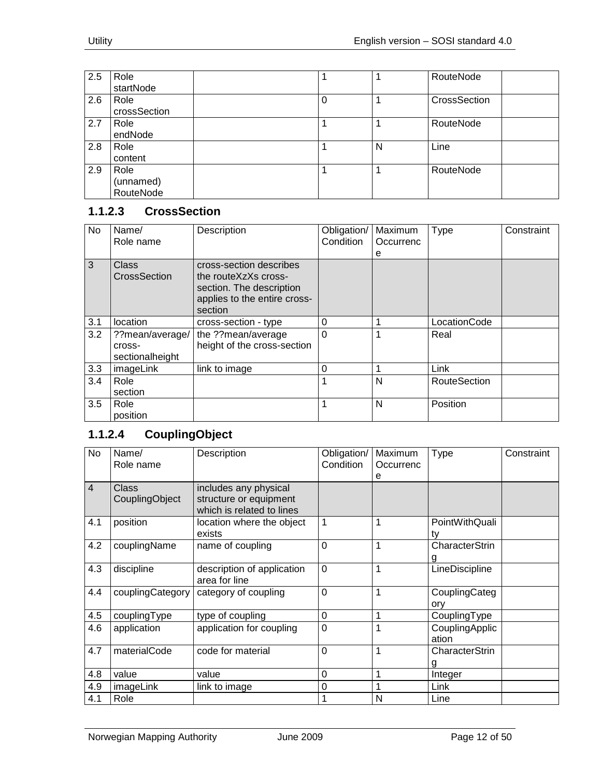| 2.5 | Role         |          |   | RouteNode    |
|-----|--------------|----------|---|--------------|
|     | startNode    |          |   |              |
| 2.6 | Role         | $\Omega$ |   | CrossSection |
|     | crossSection |          |   |              |
| 2.7 | Role         |          |   | RouteNode    |
|     | endNode      |          |   |              |
| 2.8 | Role         |          | N | Line         |
|     | content      |          |   |              |
| 2.9 | Role         |          |   | RouteNode    |
|     | (unnamed)    |          |   |              |
|     | RouteNode    |          |   |              |

# <span id="page-11-0"></span>**1.1.2.3 CrossSection**

| No  | Name/<br>Role name                           | Description                                                                                                            | Obligation/<br>Condition | Maximum<br>Occurrenc<br>е | <b>Type</b>         | Constraint |
|-----|----------------------------------------------|------------------------------------------------------------------------------------------------------------------------|--------------------------|---------------------------|---------------------|------------|
| 3   | <b>Class</b><br>CrossSection                 | cross-section describes<br>the routeXzXs cross-<br>section. The description<br>applies to the entire cross-<br>section |                          |                           |                     |            |
| 3.1 | location                                     | cross-section - type                                                                                                   | 0                        |                           | LocationCode        |            |
| 3.2 | ??mean/average/<br>cross-<br>sectionalheight | the ??mean/average<br>height of the cross-section                                                                      | $\mathbf{0}$             |                           | Real                |            |
| 3.3 | imageLink                                    | link to image                                                                                                          | 0                        |                           | Link                |            |
| 3.4 | Role<br>section                              |                                                                                                                        |                          | N                         | <b>RouteSection</b> |            |
| 3.5 | Role<br>position                             |                                                                                                                        |                          | N                         | Position            |            |

# <span id="page-11-1"></span>**1.1.2.4 CouplingObject**

| No             | Name/<br>Role name             | Description                                                                  | Obligation/<br>Condition | Maximum<br>Occurrenc<br>е | <b>Type</b>             | Constraint |
|----------------|--------------------------------|------------------------------------------------------------------------------|--------------------------|---------------------------|-------------------------|------------|
| $\overline{4}$ | <b>Class</b><br>CouplingObject | includes any physical<br>structure or equipment<br>which is related to lines |                          |                           |                         |            |
| 4.1            | position                       | location where the object<br>exists                                          | $\mathbf{1}$             | 1                         | PointWithQuali<br>ty    |            |
| 4.2            | couplingName                   | name of coupling                                                             | $\overline{0}$           | 1                         | CharacterStrin<br>g     |            |
| 4.3            | discipline                     | description of application<br>area for line                                  | $\mathbf 0$              | 1                         | LineDiscipline          |            |
| 4.4            | couplingCategory               | category of coupling                                                         | $\mathbf 0$              | 1                         | CouplingCateg<br>ory    |            |
| 4.5            | couplingType                   | type of coupling                                                             | $\mathbf 0$              | 1                         | CouplingType            |            |
| 4.6            | application                    | application for coupling                                                     | $\overline{0}$           | 1                         | CouplingApplic<br>ation |            |
| 4.7            | materialCode                   | code for material                                                            | $\overline{0}$           | 1                         | CharacterStrin<br>g     |            |
| 4.8            | value                          | value                                                                        | $\mathbf 0$              | 1                         | Integer                 |            |
| 4.9            | imageLink                      | link to image                                                                | 0                        | 1                         | Link                    |            |
| 4.1            | Role                           |                                                                              | 1                        | N                         | Line                    |            |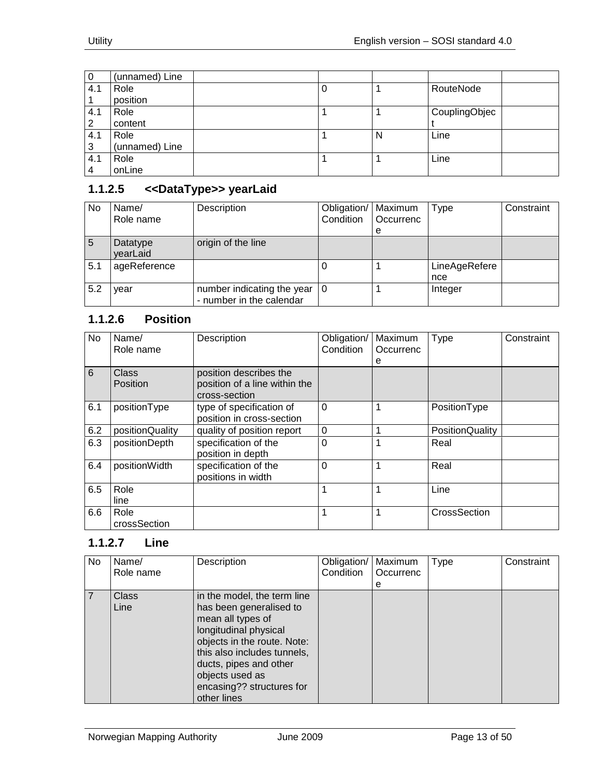| 0              | (unnamed) Line |   |   |               |  |
|----------------|----------------|---|---|---------------|--|
| 4.1            | Role           | υ |   | RouteNode     |  |
|                | position       |   |   |               |  |
| 4.1            | Role           |   |   | CouplingObjec |  |
| 2              | content        |   |   |               |  |
| 4.1            | Role           |   | N | Line          |  |
| 3              | (unnamed) Line |   |   |               |  |
| 4.1            | Role           |   |   | Line          |  |
| $\overline{4}$ | onLine         |   |   |               |  |

## <span id="page-12-0"></span>**1.1.2.5 <<DataType>> yearLaid**

| No  | Name/<br>Role name   | Description                                            | Obligation/   Maximum<br>Condition | <b>Occurrenc</b><br>e | <b>Type</b>          | Constraint |
|-----|----------------------|--------------------------------------------------------|------------------------------------|-----------------------|----------------------|------------|
| 5   | Datatype<br>yearLaid | origin of the line                                     |                                    |                       |                      |            |
| 5.1 | ageReference         |                                                        |                                    |                       | LineAgeRefere<br>nce |            |
| 5.2 | vear                 | number indicating the year<br>- number in the calendar | l O                                |                       | Integer              |            |

# <span id="page-12-1"></span>**1.1.2.6 Position**

| No  | Name/<br>Role name       | Description                                                              | Obligation/<br>Condition | Maximum<br>Occurrenc<br>е | <b>Type</b>     | Constraint |
|-----|--------------------------|--------------------------------------------------------------------------|--------------------------|---------------------------|-----------------|------------|
| 6   | Class<br><b>Position</b> | position describes the<br>position of a line within the<br>cross-section |                          |                           |                 |            |
| 6.1 | positionType             | type of specification of<br>position in cross-section                    | 0                        |                           | PositionType    |            |
| 6.2 | positionQuality          | quality of position report                                               | 0                        |                           | PositionQuality |            |
| 6.3 | positionDepth            | specification of the<br>position in depth                                | 0                        |                           | Real            |            |
| 6.4 | positionWidth            | specification of the<br>positions in width                               | $\mathbf{0}$             |                           | Real            |            |
| 6.5 | Role<br>line             |                                                                          | 1                        |                           | Line            |            |
| 6.6 | Role<br>crossSection     |                                                                          | 1                        |                           | CrossSection    |            |

#### <span id="page-12-2"></span>**1.1.2.7 Line**

| No. | Name/<br>Role name   | Description                                                                                                                                                                                                                                                 | Obligation/<br>Condition | Maximum<br>Occurrenc | <b>Type</b> | Constraint |
|-----|----------------------|-------------------------------------------------------------------------------------------------------------------------------------------------------------------------------------------------------------------------------------------------------------|--------------------------|----------------------|-------------|------------|
|     |                      |                                                                                                                                                                                                                                                             |                          | е                    |             |            |
|     | <b>Class</b><br>Line | in the model, the term line<br>has been generalised to<br>mean all types of<br>longitudinal physical<br>objects in the route. Note:<br>this also includes tunnels,<br>ducts, pipes and other<br>objects used as<br>encasing?? structures for<br>other lines |                          |                      |             |            |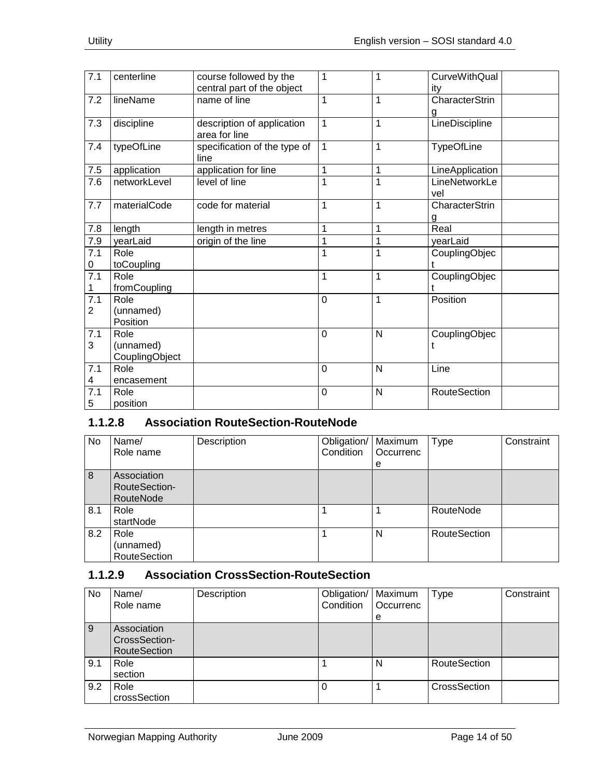| 7.1                   | centerline                          | course followed by the<br>central part of the object | $\mathbf{1}$ | 1              | <b>CurveWithQual</b><br>ity |
|-----------------------|-------------------------------------|------------------------------------------------------|--------------|----------------|-----------------------------|
| 7.2                   | lineName                            | name of line                                         | 1            | 1              | <b>CharacterStrin</b><br>g  |
| 7.3                   | discipline                          | description of application<br>area for line          | $\mathbf{1}$ | 1              | LineDiscipline              |
| 7.4                   | typeOfLine                          | specification of the type of<br>line                 | $\mathbf{1}$ | 1              | <b>TypeOfLine</b>           |
| 7.5                   | application                         | application for line                                 | 1            | 1              | LineApplication             |
| 7.6                   | networkLevel                        | level of line                                        | 1            | 1              | LineNetworkLe<br>vel        |
| 7.7                   | materialCode                        | code for material                                    | 1            | 1              | CharacterStrin<br>g         |
| 7.8                   | length                              | length in metres                                     | 1            | $\overline{1}$ | Real                        |
| 7.9                   | yearLaid                            | origin of the line                                   | 1            | 1              | yearLaid                    |
| 7.1<br>0              | Role<br>toCoupling                  |                                                      | 1            | 1              | CouplingObjec               |
| 7.1<br>1              | Role<br>fromCoupling                |                                                      | 1            | 1              | CouplingObjec               |
| $\overline{7.1}$<br>2 | Role<br>(unnamed)<br>Position       |                                                      | 0            | 1              | Position                    |
| 7.1<br>3              | Role<br>(unnamed)<br>CouplingObject |                                                      | $\mathbf 0$  | N              | CouplingObjec               |
| 7.1<br>4              | Role<br>encasement                  |                                                      | $\mathbf 0$  | N              | Line                        |
| 7.1<br>5              | Role<br>position                    |                                                      | $\mathbf 0$  | N              | <b>RouteSection</b>         |

## <span id="page-13-0"></span>**1.1.2.8 Association RouteSection-RouteNode**

| No  | Name/<br>Role name                        | Description | Obligation/<br>Condition | Maximum<br>Occurrenc<br>е | <b>Type</b>         | Constraint |
|-----|-------------------------------------------|-------------|--------------------------|---------------------------|---------------------|------------|
| 8   | Association<br>RouteSection-<br>RouteNode |             |                          |                           |                     |            |
| 8.1 | Role<br>startNode                         |             |                          |                           | RouteNode           |            |
| 8.2 | Role<br>(unnamed)<br><b>RouteSection</b>  |             |                          | N                         | <b>RouteSection</b> |            |

# <span id="page-13-1"></span>**1.1.2.9 Association CrossSection-RouteSection**

| No  | Name/<br>Role name                                  | Description | Obligation/   Maximum<br>Condition | Occurrenc<br>e | <b>Type</b>         | Constraint |
|-----|-----------------------------------------------------|-------------|------------------------------------|----------------|---------------------|------------|
| 9   | Association<br>CrossSection-<br><b>RouteSection</b> |             |                                    |                |                     |            |
| 9.1 | Role<br>section                                     |             |                                    | N              | <b>RouteSection</b> |            |
| 9.2 | Role<br>crossSection                                |             | $\Omega$                           |                | CrossSection        |            |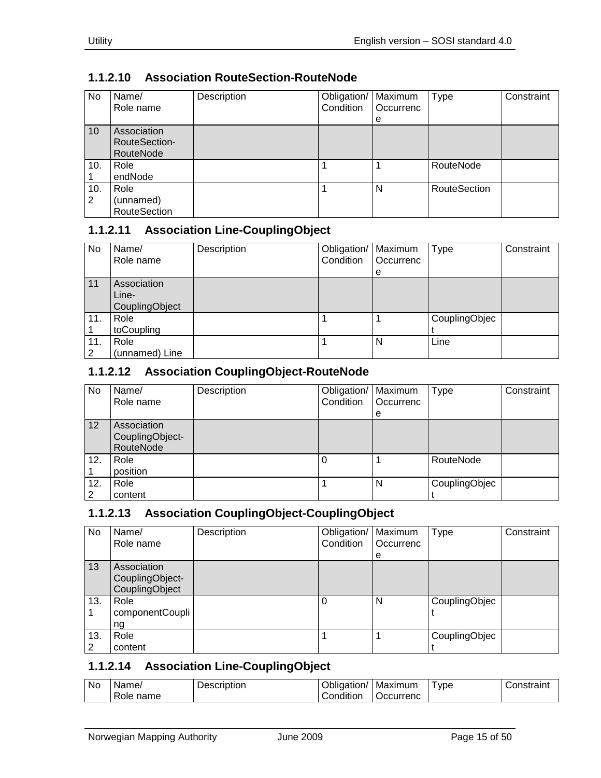| <b>No</b> | Name/<br>Role name                        | Description | Obligation/<br>Condition | Maximum<br>Occurrenc<br>е | Type                | Constraint |
|-----------|-------------------------------------------|-------------|--------------------------|---------------------------|---------------------|------------|
| 10        | Association<br>RouteSection-<br>RouteNode |             |                          |                           |                     |            |
| 10.       | Role<br>endNode                           |             |                          |                           | RouteNode           |            |
| 10.<br>2  | Role<br>(unnamed)<br><b>RouteSection</b>  |             |                          | N                         | <b>RouteSection</b> |            |

# <span id="page-14-0"></span>**1.1.2.10 Association RouteSection-RouteNode**

## <span id="page-14-1"></span>**1.1.2.11 Association Line-CouplingObject**

| No                   | Name/<br>Role name                     | Description | Obligation/   Maximum<br>Condition | Occurrenc<br>e | Type          | Constraint |
|----------------------|----------------------------------------|-------------|------------------------------------|----------------|---------------|------------|
| 11                   | Association<br>Line-<br>CouplingObject |             |                                    |                |               |            |
| 11.                  | Role<br>toCoupling                     |             |                                    |                | CouplingObjec |            |
| 11.<br>$\mathcal{P}$ | Role<br>(unnamed) Line                 |             |                                    | N              | Line          |            |

#### <span id="page-14-2"></span>**1.1.2.12 Association CouplingObject-RouteNode**

| No       | Name/<br>Role name                          | Description | Obligation/<br>Condition | Maximum<br>Occurrenc<br>e | <b>Type</b>   | Constraint |
|----------|---------------------------------------------|-------------|--------------------------|---------------------------|---------------|------------|
| 12       | Association<br>CouplingObject-<br>RouteNode |             |                          |                           |               |            |
| 12.      | Role<br>position                            |             |                          |                           | RouteNode     |            |
| 12.<br>2 | Role<br>content                             |             |                          | N                         | CouplingObjec |            |

#### <span id="page-14-3"></span>**1.1.2.13 Association CouplingObject-CouplingObject**

| No       | Name/<br>Role name                               | Description | Obligation/<br>Condition | Maximum<br>Occurrenc<br>е | <b>Type</b>   | Constraint |
|----------|--------------------------------------------------|-------------|--------------------------|---------------------------|---------------|------------|
| 13       | Association<br>CouplingObject-<br>CouplingObject |             |                          |                           |               |            |
| 13.      | Role<br>componentCoupli<br>ng                    |             | 0                        | N                         | CouplingObjec |            |
| 13.<br>2 | Role<br>content                                  |             |                          |                           | CouplingObjec |            |

## <span id="page-14-4"></span>**1.1.2.14 Association Line-CouplingObject**

| No | Name <sub></sub> | Description | )blic<br>dation/ | Maximum   | --<br><b>vpe</b> | ∶∩nstraint |
|----|------------------|-------------|------------------|-----------|------------------|------------|
|    | name<br>Role     |             | .<br>Condition   | Jccurrenc |                  |            |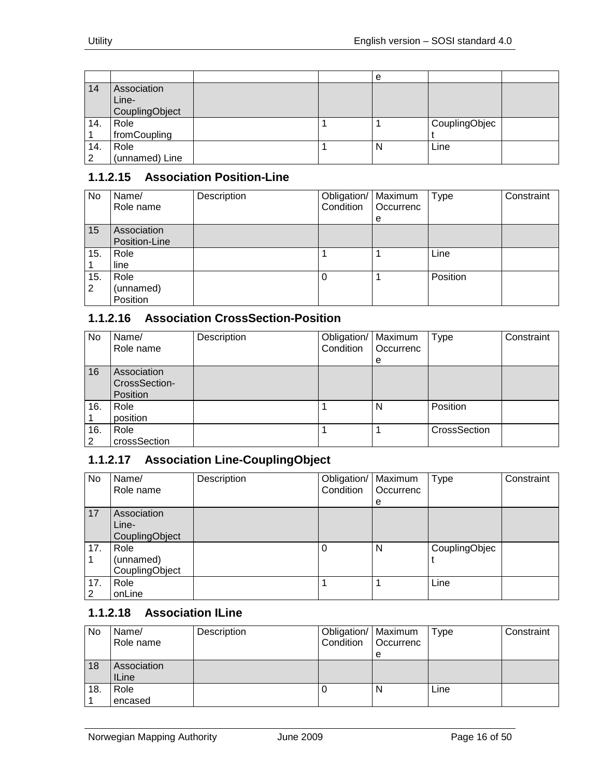|     |                                        |  | e |               |  |
|-----|----------------------------------------|--|---|---------------|--|
| 14  | Association<br>Line-<br>CouplingObject |  |   |               |  |
| 14. | Role                                   |  |   | CouplingObjec |  |
|     | fromCoupling                           |  |   |               |  |
| 14. | Role                                   |  | N | Line          |  |
| າ   | (unnamed) Line                         |  |   |               |  |

## <span id="page-15-0"></span>**1.1.2.15 Association Position-Line**

| No       | Name/<br>Role name            | Description | Obligation/   Maximum<br>Condition | <b>Occurrenc</b><br>е | Type     | Constraint |
|----------|-------------------------------|-------------|------------------------------------|-----------------------|----------|------------|
| 15       | Association<br>Position-Line  |             |                                    |                       |          |            |
| 15.      | Role<br>line                  |             |                                    |                       | Line     |            |
| 15.<br>2 | Role<br>(unnamed)<br>Position |             |                                    |                       | Position |            |

# <span id="page-15-1"></span>**1.1.2.16 Association CrossSection-Position**

| No       | Name/<br>Role name                              | Description | Obligation/   Maximum<br>Condition | Occurrenc<br>е | Type         | Constraint |
|----------|-------------------------------------------------|-------------|------------------------------------|----------------|--------------|------------|
| 16       | Association<br>CrossSection-<br><b>Position</b> |             |                                    |                |              |            |
| 16.      | Role<br>position                                |             |                                    | N              | Position     |            |
| 16.<br>2 | Role<br>crossSection                            |             |                                    |                | CrossSection |            |

#### <span id="page-15-2"></span>**1.1.2.17 Association Line-CouplingObject**

| No       | Name/<br>Role name                     | Description | Obligation/<br>Condition | Maximum<br>Occurrenc<br>e | <b>Type</b>   | Constraint |
|----------|----------------------------------------|-------------|--------------------------|---------------------------|---------------|------------|
| 17       | Association<br>Line-<br>CouplingObject |             |                          |                           |               |            |
| 17.      | Role<br>(unnamed)<br>CouplingObject    |             | 0                        | N                         | CouplingObjec |            |
| 17.<br>2 | Role<br>onLine                         |             |                          |                           | Line          |            |

#### <span id="page-15-3"></span>**1.1.2.18 Association ILine**

| No  | Name/<br>Role name          | Description | Obligation/   Maximum<br>Condition   Occurrenc |   | Type | Constraint |
|-----|-----------------------------|-------------|------------------------------------------------|---|------|------------|
| 18  | Association<br><b>ILine</b> |             |                                                | е |      |            |
| 18. | Role<br>encased             |             |                                                | N | Line |            |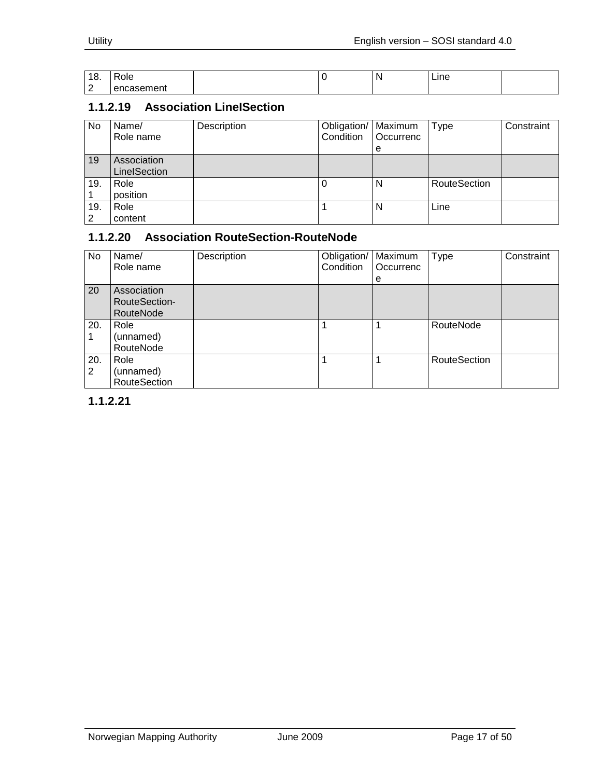| 10<br>О.    | Role                   |  | N | Line |  |
|-------------|------------------------|--|---|------|--|
| $\sim$<br>- | $        -$<br>Λn<br>" |  |   |      |  |

# <span id="page-16-0"></span>**1.1.2.19 Association LineISection**

| No       | Name/<br>Role name          | Description | Obligation/   Maximum<br>Condition | Occurrenc<br>е | <b>Type</b>  | Constraint |
|----------|-----------------------------|-------------|------------------------------------|----------------|--------------|------------|
| 19       | Association<br>LinelSection |             |                                    |                |              |            |
| 19.      | Role<br>position            |             |                                    | N              | RouteSection |            |
| 19.<br>2 | Role<br>content             |             |                                    | N              | Line         |            |

# <span id="page-16-1"></span>**1.1.2.20 Association RouteSection-RouteNode**

| No       | Name/<br>Role name                               | Description | Obligation/<br>Condition | Maximum<br>Occurrenc<br>е | <b>Type</b>         | Constraint |
|----------|--------------------------------------------------|-------------|--------------------------|---------------------------|---------------------|------------|
| 20       | Association<br><b>RouteSection-</b><br>RouteNode |             |                          |                           |                     |            |
| 20.      | Role<br>(unnamed)<br>RouteNode                   |             |                          |                           | RouteNode           |            |
| 20.<br>2 | Role<br>(unnamed)<br><b>RouteSection</b>         |             |                          |                           | <b>RouteSection</b> |            |

<span id="page-16-2"></span>**1.1.2.21**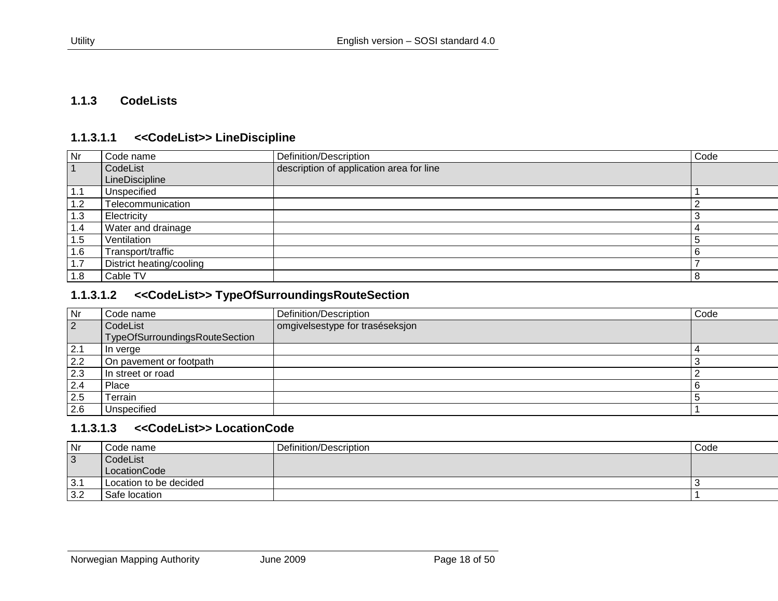#### **1.1.3 CodeLists**

#### **1.1.3.1.1 <<CodeList>> LineDiscipline**

| Nr        | Code name                | Definition/Description                   | Code |
|-----------|--------------------------|------------------------------------------|------|
| $\vert$ 1 | CodeList                 | description of application area for line |      |
|           | LineDiscipline           |                                          |      |
| 1.1       | Unspecified              |                                          |      |
| 1.2       | Telecommunication        |                                          |      |
| 1.3       | Electricity              |                                          |      |
| 1.4       | Water and drainage       |                                          | 4    |
| 1.5       | Ventilation              |                                          | 5    |
| 1.6       | Transport/traffic        |                                          |      |
| 1.7       | District heating/cooling |                                          |      |
| 1.8       | Cable TV                 |                                          | 8    |

#### <span id="page-17-0"></span>**1.1.3.1.2 <<CodeList>> TypeOfSurroundingsRouteSection**

<span id="page-17-1"></span>

| Nr             | Code name                      | Definition/Description          | Code |
|----------------|--------------------------------|---------------------------------|------|
| $\overline{2}$ | CodeList                       | omgivelsestype for traséseksjon |      |
|                | TypeOfSurroundingsRouteSection |                                 |      |
| 2.1            | In verge                       |                                 |      |
| 2.2            | On pavement or footpath        |                                 |      |
| 2.3            | In street or road              |                                 |      |
| 2.4            | Place                          |                                 |      |
| 2.5            | Terrain                        |                                 |      |
| 2.6            | Unspecified                    |                                 |      |

#### **1.1.3.1.3 <<CodeList>> LocationCode**

<span id="page-17-3"></span><span id="page-17-2"></span>

| Nr             | Code name              | Definition/Description | Code |
|----------------|------------------------|------------------------|------|
| $\overline{3}$ | CodeList               |                        |      |
|                | LocationCode           |                        |      |
| 3.1            | Location to be decided |                        |      |
| 3.2            | Safe location          |                        |      |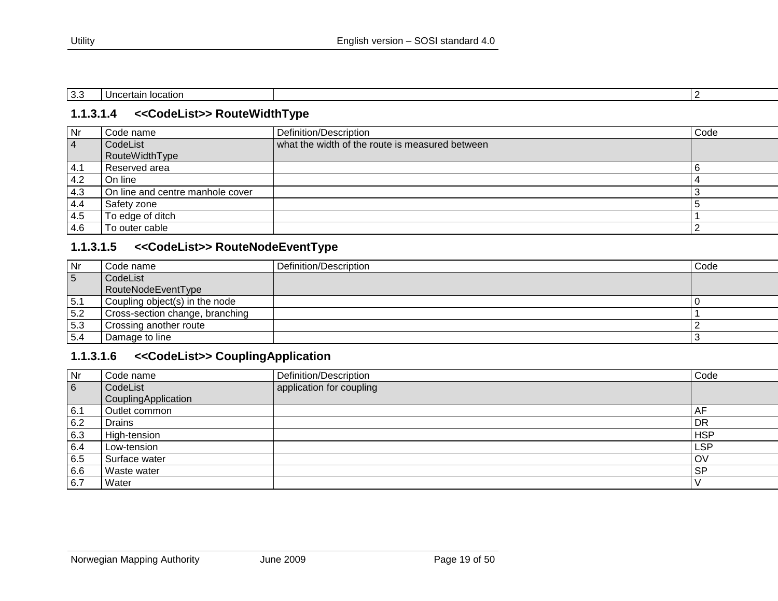| $\sim$<br>ັບ.ບ | location<br>Uncertain<br>iucatiui. |  |
|----------------|------------------------------------|--|

#### **1.1.3.1.4 <<CodeList>> RouteWidthType**

| Nr             | Code name                        | Definition/Description                          | Code |
|----------------|----------------------------------|-------------------------------------------------|------|
| $\overline{4}$ | CodeList                         | what the width of the route is measured between |      |
|                | <b>RouteWidthType</b>            |                                                 |      |
| i 4.1          | Reserved area                    |                                                 |      |
| 4.2            | On line                          |                                                 |      |
| 4.3            | On line and centre manhole cover |                                                 |      |
| 4.4            | Safety zone                      |                                                 |      |
| 4.5            | To edge of ditch                 |                                                 |      |
| -4.6           | To outer cable                   |                                                 |      |

#### **1.1.3.1.5 <<CodeList>> RouteNodeEventType**

<span id="page-18-0"></span>

| <b>Nr</b>       | Code name                       | Definition/Description | Code |
|-----------------|---------------------------------|------------------------|------|
| $5\overline{5}$ | CodeList                        |                        |      |
|                 | RouteNodeEventType              |                        |      |
| 5.1             | Coupling object(s) in the node  |                        |      |
| 5.2             | Cross-section change, branching |                        |      |
| 5.3             | Crossing another route          |                        |      |
| 5.4             | Damage to line                  |                        |      |

## **1.1.3.1.6 <<CodeList>> CouplingApplication**

<span id="page-18-2"></span><span id="page-18-1"></span>

| Nr  | Code name                       | Definition/Description   | Code       |
|-----|---------------------------------|--------------------------|------------|
| 6   | CodeList<br>CouplingApplication | application for coupling |            |
| 6.1 | Outlet common                   |                          | AF         |
| 6.2 | <b>Drains</b>                   |                          | <b>DR</b>  |
| 6.3 | High-tension                    |                          | <b>HSP</b> |
| 6.4 | Low-tension                     |                          | <b>LSP</b> |
| 6.5 | Surface water                   |                          | OV         |
| 6.6 | <b>Waste water</b>              |                          | <b>SP</b>  |
| 6.7 | Water                           |                          |            |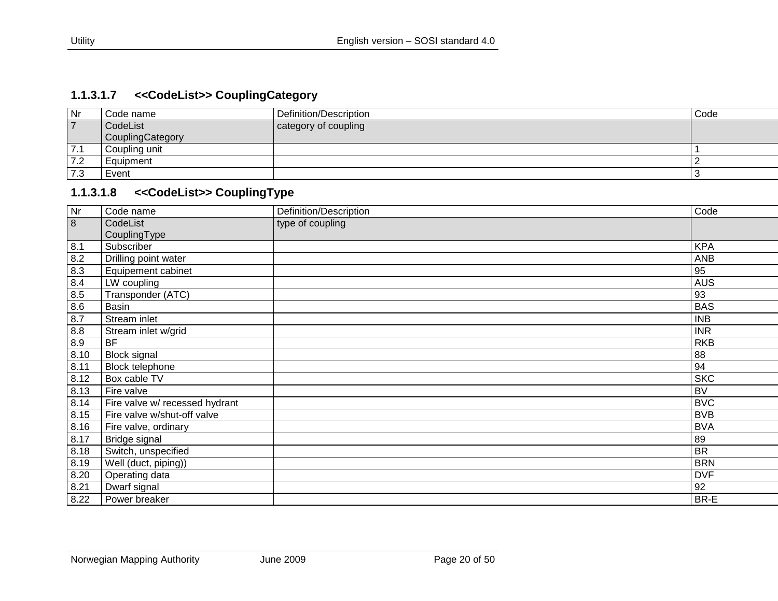# **1.1.3.1.7 <<CodeList>> CouplingCategory**

| Nr                               | Code name        | Definition/Description | Code |
|----------------------------------|------------------|------------------------|------|
| $\overline{\phantom{a}}$         | CodeList         | category of coupling   |      |
|                                  | CouplingCategory |                        |      |
| 7.1                              | Coupling unit    |                        |      |
| 7.2                              | Equipment        |                        |      |
| $\overline{\phantom{a}}$<br>ن. ا | Event            |                        |      |

# **1.1.3.1.8 <<CodeList>> CouplingType**

<span id="page-19-1"></span><span id="page-19-0"></span>

| Nr             | Code name                      | Definition/Description | Code       |
|----------------|--------------------------------|------------------------|------------|
| $\overline{8}$ | CodeList                       | type of coupling       |            |
|                | CouplingType                   |                        |            |
| 8.1            | Subscriber                     |                        | <b>KPA</b> |
| 8.2            | Drilling point water           |                        | <b>ANB</b> |
| 8.3            | Equipement cabinet             |                        | 95         |
| 8.4            | LW coupling                    |                        | <b>AUS</b> |
| 8.5            | Transponder (ATC)              |                        | 93         |
| 8.6            | <b>Basin</b>                   |                        | <b>BAS</b> |
| 8.7            | Stream inlet                   |                        | <b>INB</b> |
| 8.8            | Stream inlet w/grid            |                        | <b>INR</b> |
| 8.9            | <b>BF</b>                      |                        | <b>RKB</b> |
| 8.10           | <b>Block signal</b>            |                        | 88         |
| 8.11           | <b>Block telephone</b>         |                        | 94         |
| 8.12           | Box cable TV                   |                        | <b>SKC</b> |
| 8.13           | Fire valve                     |                        | <b>BV</b>  |
| 8.14           | Fire valve w/ recessed hydrant |                        | <b>BVC</b> |
| 8.15           | Fire valve w/shut-off valve    |                        | <b>BVB</b> |
| 8.16           | Fire valve, ordinary           |                        | <b>BVA</b> |
| 8.17           | Bridge signal                  |                        | 89         |
| 8.18           | Switch, unspecified            |                        | <b>BR</b>  |
| 8.19           | Well (duct, piping))           |                        | <b>BRN</b> |
| 8.20           | Operating data                 |                        | <b>DVF</b> |
| 8.21           | Dwarf signal                   |                        | 92         |
| 8.22           | Power breaker                  |                        | BR-E       |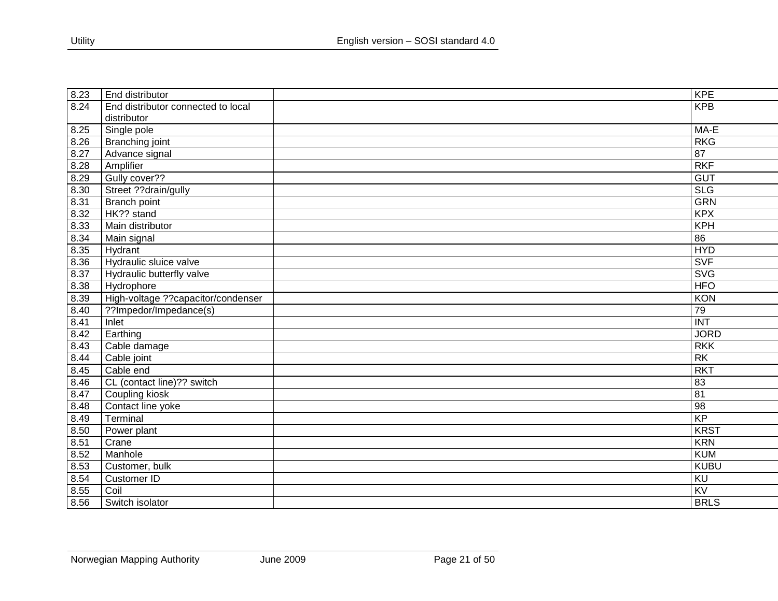| 8.23 | End distributor                     | <b>KPE</b>       |
|------|-------------------------------------|------------------|
| 8.24 | End distributor connected to local  | <b>KPB</b>       |
|      | distributor                         |                  |
| 8.25 | Single pole                         | MA-E             |
| 8.26 | <b>Branching joint</b>              | RKG              |
| 8.27 | Advance signal                      | $\overline{87}$  |
| 8.28 | Amplifier                           | <b>RKF</b>       |
| 8.29 | Gully cover??                       | <b>GUT</b>       |
| 8.30 | Street ??drain/gully                | <b>SLG</b>       |
| 8.31 | Branch point                        | <b>GRN</b>       |
| 8.32 | HK?? stand                          | <b>KPX</b>       |
| 8.33 | Main distributor                    | KPH              |
| 8.34 | Main signal                         | 86               |
| 8.35 | Hydrant                             | <b>HYD</b>       |
| 8.36 | Hydraulic sluice valve              | <b>SVF</b>       |
| 8.37 | Hydraulic butterfly valve           | <b>SVG</b>       |
| 8.38 | Hydrophore                          | <b>HFO</b>       |
| 8.39 | High-voltage ?? capacitor/condenser | KON              |
| 8.40 | ??Impedor/Impedance(s)              | 79               |
| 8.41 | Inlet                               | $\overline{INT}$ |
| 8.42 | Earthing                            | <b>JORD</b>      |
| 8.43 | Cable damage                        | <b>RKK</b>       |
| 8.44 | Cable joint                         | <b>RK</b>        |
| 8.45 | Cable end                           | <b>RKT</b>       |
| 8.46 | CL (contact line)?? switch          | 83               |
| 8.47 | Coupling kiosk                      | $\overline{81}$  |
| 8.48 | Contact line yoke                   | 98               |
| 8.49 | Terminal                            | KP               |
| 8.50 | Power plant                         | <b>KRST</b>      |
| 8.51 | Crane                               | <b>KRN</b>       |
| 8.52 | Manhole                             | <b>KUM</b>       |
| 8.53 | Customer, bulk                      | <b>KUBU</b>      |
| 8.54 | <b>Customer ID</b>                  | $\overline{KU}$  |
| 8.55 | Coil                                | $\overline{KV}$  |
| 8.56 | Switch isolator                     | <b>BRLS</b>      |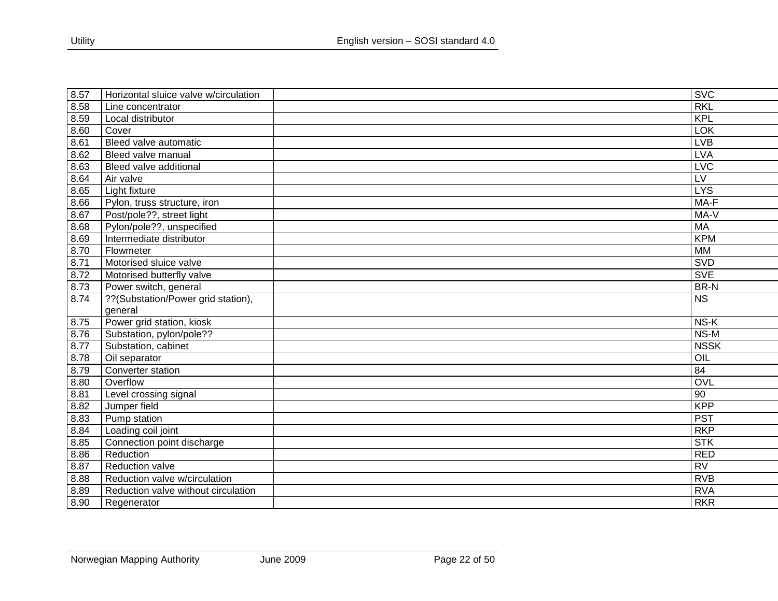| 8.57 | Horizontal sluice valve w/circulation | <b>SVC</b>             |
|------|---------------------------------------|------------------------|
| 8.58 | Line concentrator                     | <b>RKL</b>             |
| 8.59 | Local distributor                     | KPL                    |
| 8.60 | Cover                                 | <b>TOK</b>             |
| 8.61 | Bleed valve automatic                 | <b>LVB</b>             |
| 8.62 | Bleed valve manual                    | <b>LVA</b>             |
| 8.63 | Bleed valve additional                | <b>LVC</b>             |
| 8.64 | Air valve                             | $\overline{LV}$        |
| 8.65 | Light fixture                         | <b>LYS</b>             |
| 8.66 | Pylon, truss structure, iron          | MA-F                   |
| 8.67 | Post/pole??, street light             | MA-V                   |
| 8.68 | Pylon/pole??, unspecified             | MA                     |
| 8.69 | Intermediate distributor              | <b>KPM</b>             |
| 8.70 | Flowmeter                             | <b>MM</b>              |
| 8.71 | Motorised sluice valve                | <b>SVD</b>             |
| 8.72 | Motorised butterfly valve             | <b>SVE</b>             |
| 8.73 | Power switch, general                 | BR-N                   |
| 8.74 | ??(Substation/Power grid station),    | $\overline{\text{NS}}$ |
|      | general                               |                        |
| 8.75 | Power grid station, kiosk             | NS-K                   |
| 8.76 | Substation, pylon/pole??              | $NS-M$                 |
| 8.77 | Substation, cabinet                   | <b>NSSK</b>            |
| 8.78 | Oil separator                         | $\overline{OIL}$       |
| 8.79 | Converter station                     | $\overline{84}$        |
| 8.80 | Overflow                              | OVL                    |
| 8.81 | Level crossing signal                 | $\overline{90}$        |
| 8.82 | Jumper field                          | <b>KPP</b>             |
| 8.83 | Pump station                          | <b>PST</b>             |
| 8.84 | Loading coil joint                    | RKP                    |
| 8.85 | Connection point discharge            | <b>STK</b>             |
| 8.86 | Reduction                             | <b>RED</b>             |
| 8.87 | Reduction valve                       | $\overline{RV}$        |
| 8.88 | Reduction valve w/circulation         | RVB                    |
| 8.89 | Reduction valve without circulation   | <b>RVA</b>             |
| 8.90 | Regenerator                           | <b>RKR</b>             |
|      |                                       |                        |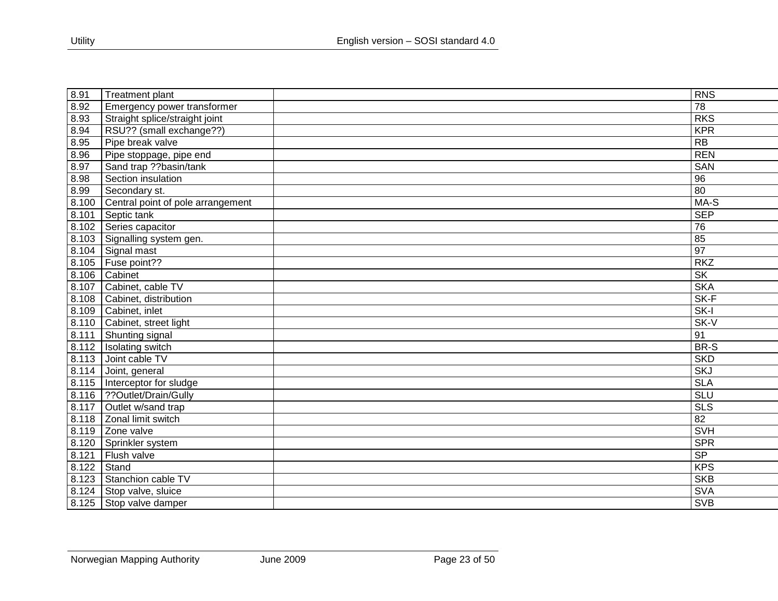| 8.91  | Treatment plant                   | <b>RNS</b>              |
|-------|-----------------------------------|-------------------------|
| 8.92  | Emergency power transformer       | 78                      |
| 8.93  | Straight splice/straight joint    | <b>RKS</b>              |
| 8.94  | RSU?? (small exchange??)          | <b>KPR</b>              |
| 8.95  | Pipe break valve                  | <b>RB</b>               |
| 8.96  | Pipe stoppage, pipe end           | <b>REN</b>              |
| 8.97  | Sand trap ??basin/tank            | <b>SAN</b>              |
| 8.98  | Section insulation                | 96                      |
| 8.99  | Secondary st.                     | $\overline{80}$         |
| 8.100 | Central point of pole arrangement | MA-S                    |
| 8.101 | Septic tank                       | <b>SEP</b>              |
| 8.102 | Series capacitor                  | $\overline{76}$         |
| 8.103 | Signalling system gen.            | 85                      |
| 8.104 | Signal mast                       | $\overline{97}$         |
| 8.105 | Fuse point??                      | <b>RKZ</b>              |
| 8.106 | Cabinet                           | $\overline{\text{SK}}$  |
| 8.107 | Cabinet, cable TV                 | <b>SKA</b>              |
| 8.108 | Cabinet, distribution             | SK-F                    |
| 8.109 | Cabinet, inlet                    | $SK-I$                  |
| 8.110 | Cabinet, street light             | $SK-V$                  |
| 8.111 | Shunting signal                   | 91                      |
| 8.112 | Isolating switch                  | BR-S                    |
| 8.113 | Joint cable TV                    | <b>SKD</b>              |
| 8.114 | Joint, general                    | <b>SKJ</b>              |
| 8.115 | Interceptor for sludge            | <b>SLA</b>              |
| 8.116 | ??Outlet/Drain/Gully              | <b>SLU</b>              |
| 8.117 | Outlet w/sand trap                | $\overline{\text{SLS}}$ |
| 8.118 | Zonal limit switch                | 82                      |
| 8.119 | Zone valve                        | <b>SVH</b>              |
| 8.120 | Sprinkler system                  | <b>SPR</b>              |
| 8.121 | Flush valve                       | SP                      |
| 8.122 | Stand                             | <b>KPS</b>              |
| 8.123 | Stanchion cable TV                | <b>SKB</b>              |
| 8.124 | Stop valve, sluice                | <b>SVA</b>              |
|       | 8.125 Stop valve damper           | <b>SVB</b>              |
|       |                                   |                         |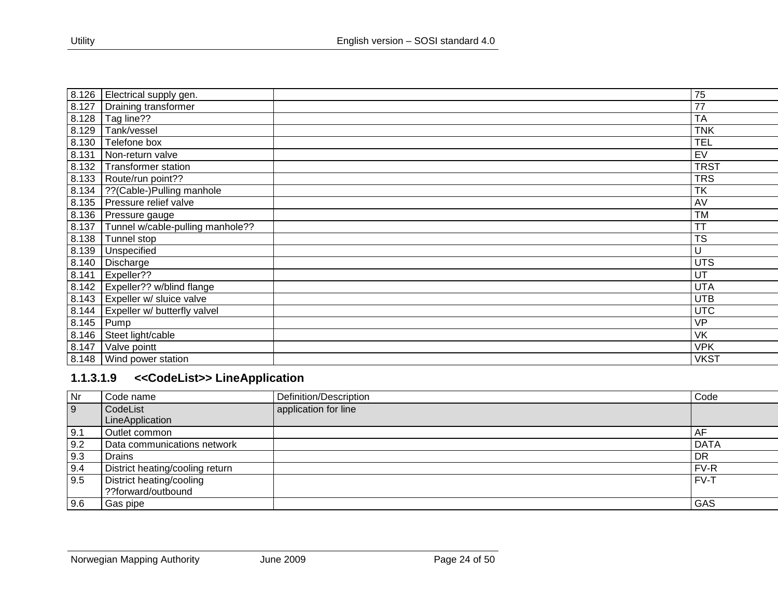| 8.126 | Electrical supply gen.           | 75          |
|-------|----------------------------------|-------------|
| 8.127 | Draining transformer             | 77          |
| 8.128 | Tag line??                       | <b>TA</b>   |
| 8.129 | Tank/vessel                      | <b>TNK</b>  |
| 8.130 | Telefone box                     | <b>TEL</b>  |
| 8.131 | Non-return valve                 | EV          |
| 8.132 | <b>Transformer station</b>       | <b>TRST</b> |
| 8.133 | Route/run point??                | <b>TRS</b>  |
| 8.134 | ??(Cable-)Pulling manhole        | <b>TK</b>   |
| 8.135 | Pressure relief valve            | AV          |
| 8.136 | Pressure gauge                   | <b>TM</b>   |
| 8.137 | Tunnel w/cable-pulling manhole?? | TT          |
| 8.138 | Tunnel stop                      | <b>TS</b>   |
| 8.139 | Unspecified                      | U           |
| 8.140 | Discharge                        | <b>UTS</b>  |
| 8.141 | Expeller??                       | UT          |
| 8.142 | Expeller?? w/blind flange        | <b>UTA</b>  |
| 8.143 | Expeller w/ sluice valve         | <b>UTB</b>  |
| 8.144 | Expeller w/ butterfly valvel     | <b>UTC</b>  |
| 8.145 | Pump                             | <b>VP</b>   |
| 8.146 | Steet light/cable                | <b>VK</b>   |
| 8.147 | Valve pointt                     | <b>VPK</b>  |
| 8.148 | Wind power station               | <b>VKST</b> |

# **1.1.3.1.9 <<CodeList>> LineApplication**

<span id="page-23-0"></span>

| Nr  | Code name                       | Definition/Description | Code        |
|-----|---------------------------------|------------------------|-------------|
| 9   | CodeList                        | application for line   |             |
|     | LineApplication                 |                        |             |
| 9.1 | Outlet common                   |                        | ΑF          |
| 9.2 | Data communications network     |                        | <b>DATA</b> |
| 9.3 | Drains                          |                        | <b>DR</b>   |
| 9.4 | District heating/cooling return |                        | FV-R        |
| 9.5 | District heating/cooling        |                        | FV-T        |
|     | ??forward/outbound              |                        |             |
| 9.6 | Gas pipe                        |                        | GAS         |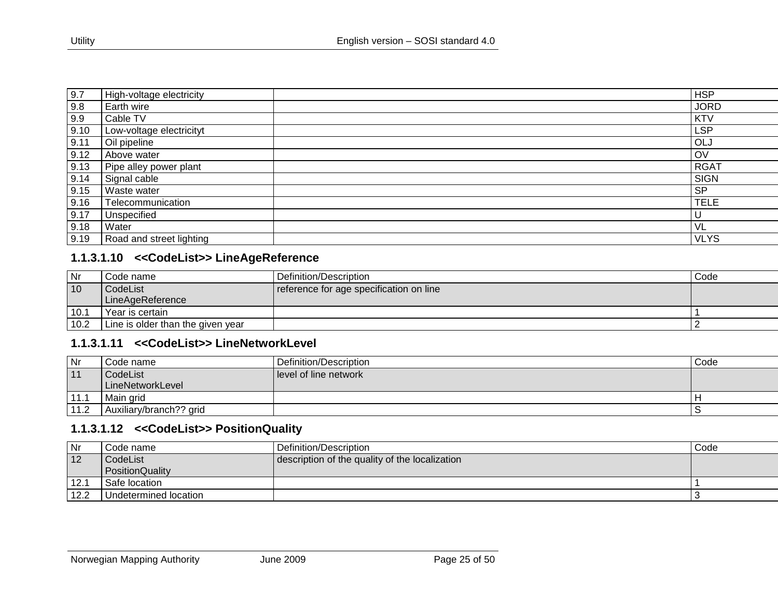| 9.7  | High-voltage electricity |           | <b>HSP</b>  |
|------|--------------------------|-----------|-------------|
|      |                          |           |             |
| 9.8  | Earth wire               |           | <b>JORD</b> |
| 9.9  | Cable TV                 |           | <b>KTV</b>  |
| 9.10 | Low-voltage electricityt |           | LSP         |
| 9.11 | Oil pipeline             |           | OLJ         |
| 9.12 | Above water              |           | OV          |
| 9.13 | Pipe alley power plant   |           | <b>RGAT</b> |
| 9.14 | Signal cable             |           | <b>SIGN</b> |
| 9.15 | Waste water              | <b>SP</b> |             |
| 9.16 | Telecommunication        |           | <b>TELE</b> |
| 9.17 | Unspecified              | υ         |             |
| 9.18 | Water                    | VL        |             |
| 9.19 | Road and street lighting |           | <b>VLYS</b> |

#### **1.1.3.1.10 <<CodeList>> LineAgeReference**

| <b>Nr</b>       | Code name                         | Definition/Description                  | Code |
|-----------------|-----------------------------------|-----------------------------------------|------|
| $\overline{10}$ | CodeList                          | reference for age specification on line |      |
|                 | LineAgeReference                  |                                         |      |
| 10.1            | Year is certain                   |                                         |      |
| 10.2            | Line is older than the given year |                                         |      |

# **1.1.3.1.11 <<CodeList>> LineNetworkLevel**

| Nr   | Code name               | Definition/Description | Code |
|------|-------------------------|------------------------|------|
| 11   | CodeList                | level of line network  |      |
|      | LineNetworkLevel        |                        |      |
| 11.1 | Main grid               |                        |      |
| 11.2 | Auxiliary/branch?? grid |                        |      |

## <span id="page-24-0"></span>**1.1.3.1.12 <<CodeList>> PositionQuality**

<span id="page-24-2"></span><span id="page-24-1"></span>

| Nr   | Code name             | Definition/Description                         | Code |
|------|-----------------------|------------------------------------------------|------|
| 12   | CodeList              | description of the quality of the localization |      |
|      | PositionQuality       |                                                |      |
| 12.1 | Safe location         |                                                |      |
| 12.2 | Undetermined location |                                                |      |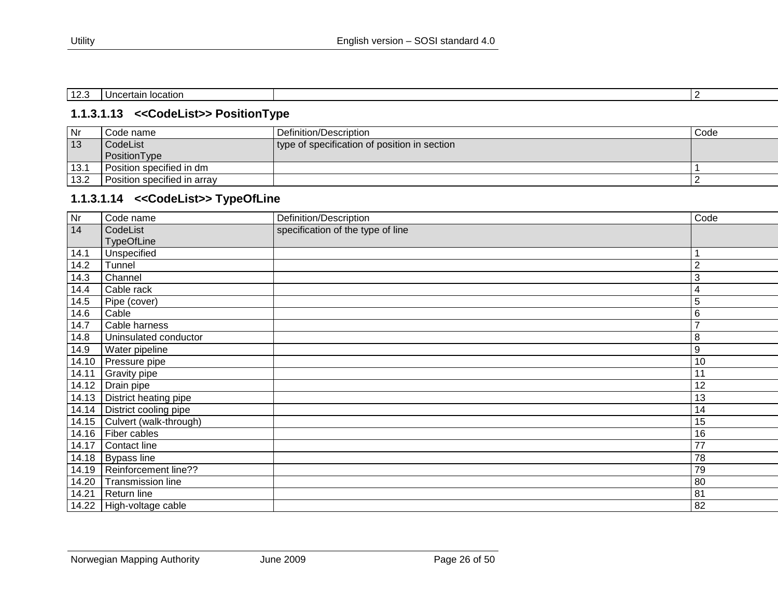| $\sqrt{2}$<br>---<br>. . | location<br>10000000000<br>чин. |  |
|--------------------------|---------------------------------|--|
|                          |                                 |  |

#### **1.1.3.1.13 <<CodeList>> PositionType**

| Nr              | Code name                   | Definition/Description                       | Code |
|-----------------|-----------------------------|----------------------------------------------|------|
| $\overline{13}$ | CodeList                    | type of specification of position in section |      |
|                 | PositionType                |                                              |      |
| 13.1            | Position specified in dm    |                                              |      |
| 13.2            | Position specified in array |                                              |      |

#### **1.1.3.1.14 <<CodeList>> TypeOfLine**

<span id="page-25-1"></span><span id="page-25-0"></span>

| Nr    | Code name                | Definition/Description            | Code            |
|-------|--------------------------|-----------------------------------|-----------------|
| 14    | CodeList                 | specification of the type of line |                 |
|       | <b>TypeOfLine</b>        |                                   |                 |
| 14.1  | Unspecified              |                                   |                 |
| 14.2  | Tunnel                   |                                   | $\overline{2}$  |
| 14.3  | Channel                  |                                   | 3               |
| 14.4  | Cable rack               |                                   | 4               |
| 14.5  | Pipe (cover)             |                                   | 5               |
| 14.6  | Cable                    |                                   | $\,6\,$         |
| 14.7  | Cable harness            |                                   | $\overline{7}$  |
| 14.8  | Uninsulated conductor    |                                   | 8               |
| 14.9  | Water pipeline           |                                   | 9               |
| 14.10 | Pressure pipe            |                                   | 10              |
| 14.11 | <b>Gravity pipe</b>      |                                   | 11              |
| 14.12 | Drain pipe               |                                   | 12              |
| 14.13 | District heating pipe    |                                   | 13              |
| 14.14 | District cooling pipe    |                                   | 14              |
| 14.15 | Culvert (walk-through)   |                                   | 15              |
| 14.16 | Fiber cables             |                                   | 16              |
| 14.17 | Contact line             |                                   | $\overline{77}$ |
|       | 14.18   Bypass line      |                                   | 78              |
| 14.19 | Reinforcement line??     |                                   | 79              |
| 14.20 | Transmission line        |                                   | 80              |
| 14.21 | Return line              |                                   | 81              |
|       | 14.22 High-voltage cable |                                   | 82              |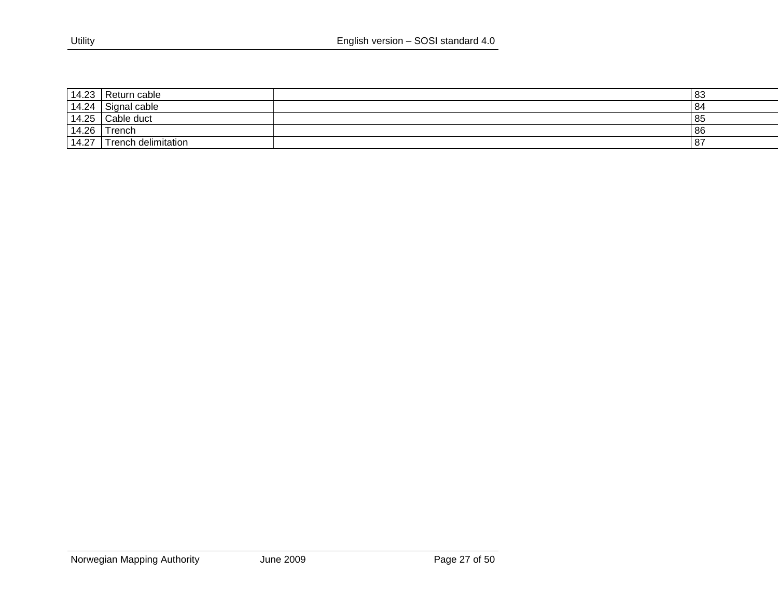| 14.23 | Return cable        | l 83 |
|-------|---------------------|------|
| 14.24 | Signal cable        | -84  |
| 14.25 | Cable duct          | 85   |
| 14.26 | Trench              | 86   |
| 14.27 | Trench delimitation | - 87 |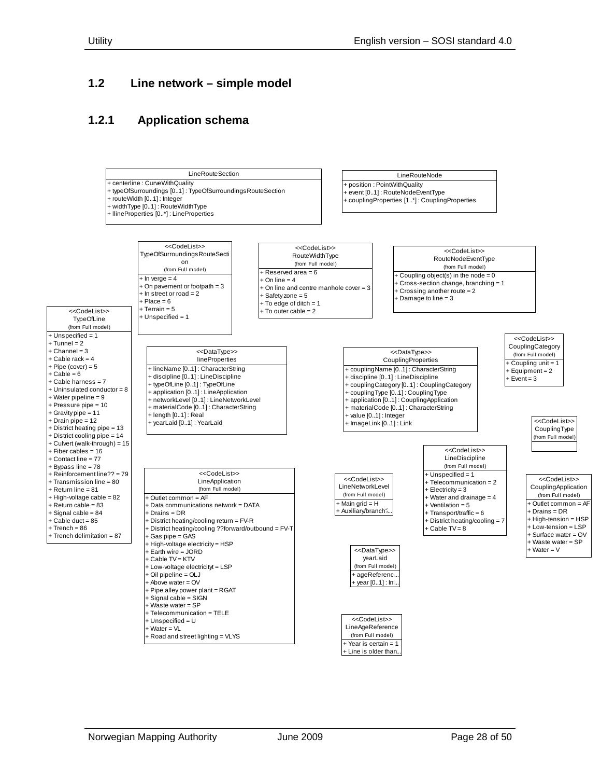#### <span id="page-27-0"></span>**1.2 Line network – simple model**

#### <span id="page-27-1"></span>**1.2.1 Application schema**

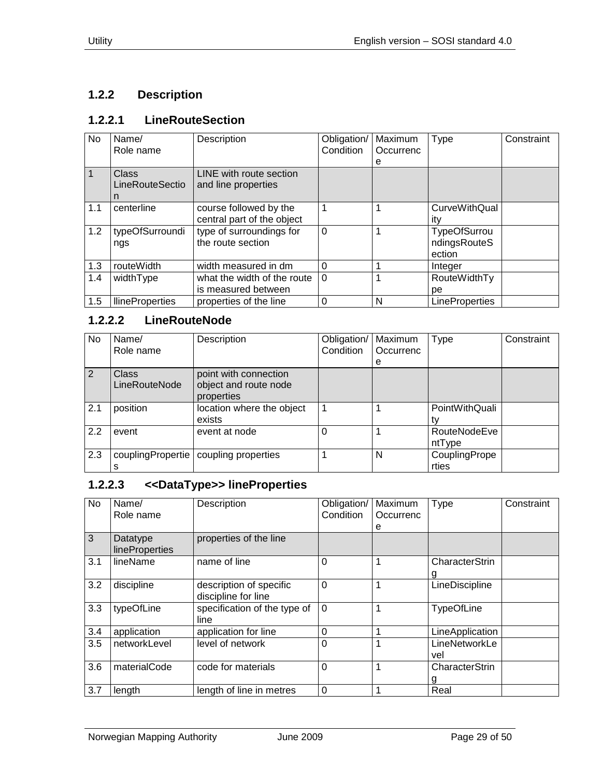# <span id="page-28-0"></span>**1.2.2 Description**

# <span id="page-28-1"></span>**1.2.2.1 LineRouteSection**

| No  | Name/<br>Role name            | Description                                          | Obligation/<br>Condition | Maximum<br>Occurrenc<br>е | Type                                          | Constraint |
|-----|-------------------------------|------------------------------------------------------|--------------------------|---------------------------|-----------------------------------------------|------------|
|     | Class<br>LineRouteSectio<br>n | LINE with route section<br>and line properties       |                          |                           |                                               |            |
| 1.1 | centerline                    | course followed by the<br>central part of the object |                          |                           | <b>CurveWithQual</b><br>itv                   |            |
| 1.2 | typeOfSurroundi<br>ngs        | type of surroundings for<br>the route section        | $\Omega$                 |                           | <b>TypeOfSurrou</b><br>ndingsRouteS<br>ection |            |
| 1.3 | routeWidth                    | width measured in dm                                 | $\Omega$                 |                           | Integer                                       |            |
| 1.4 | widthType                     | what the width of the route                          | $\Omega$                 |                           | RouteWidthTy                                  |            |
|     |                               | is measured between                                  |                          |                           | рe                                            |            |
| 1.5 | <b>IlineProperties</b>        | properties of the line                               | $\Omega$                 | N                         | <b>LineProperties</b>                         |            |

#### <span id="page-28-2"></span>**1.2.2.2 LineRouteNode**

| No  | Name/<br>Role name            | Description                                                  | Obligation/<br>Condition | Maximum<br>Occurrenc | Type                   | Constraint |
|-----|-------------------------------|--------------------------------------------------------------|--------------------------|----------------------|------------------------|------------|
|     |                               |                                                              |                          | е                    |                        |            |
| 2   | <b>Class</b><br>LineRouteNode | point with connection<br>object and route node<br>properties |                          |                      |                        |            |
| 2.1 | position                      | location where the object<br>exists                          |                          |                      | PointWithQuali         |            |
| 2.2 | event                         | event at node                                                |                          |                      | RouteNodeEve<br>ntType |            |
| 2.3 | couplingPropertie             | coupling properties                                          |                          | N                    | CouplingPrope<br>rties |            |

# <span id="page-28-3"></span>**1.2.2.3 <<DataType>> lineProperties**

| No  | Name/<br>Role name                | Description                                    | Obligation/<br>Condition | Maximum<br>Occurrenc<br>е | <b>Type</b>          | Constraint |
|-----|-----------------------------------|------------------------------------------------|--------------------------|---------------------------|----------------------|------------|
| 3   | Datatype<br><b>lineProperties</b> | properties of the line                         |                          |                           |                      |            |
| 3.1 | lineName                          | name of line                                   | $\Omega$                 | 1                         | CharacterStrin       |            |
| 3.2 | discipline                        | description of specific<br>discipline for line | $\mathbf 0$              | 1                         | LineDiscipline       |            |
| 3.3 | typeOfLine                        | specification of the type of<br>line           | $\Omega$                 |                           | <b>TypeOfLine</b>    |            |
| 3.4 | application                       | application for line                           | $\overline{0}$           | 1                         | LineApplication      |            |
| 3.5 | networkLevel                      | level of network                               | $\Omega$                 | 1                         | LineNetworkLe<br>vel |            |
| 3.6 | materialCode                      | code for materials                             | $\overline{0}$           | 1                         | CharacterStrin<br>g  |            |
| 3.7 | length                            | length of line in metres                       | $\Omega$                 | 1                         | Real                 |            |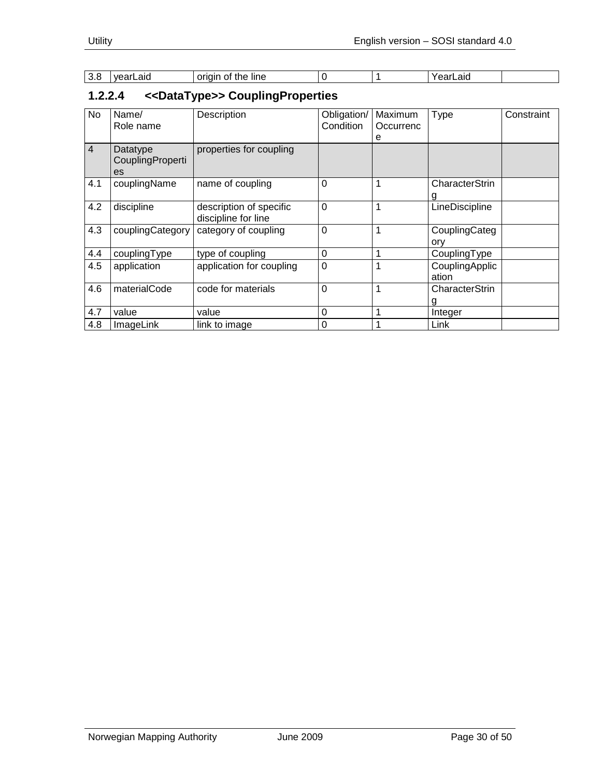| 3.8 | vearLaid | origin<br>. ot<br>the<br><b>line</b> |  | earLaid |  |
|-----|----------|--------------------------------------|--|---------|--|

# <span id="page-29-0"></span>**1.2.2.4 <<DataType>> CouplingProperties**

| No             | Name/<br>Role name                 | Description                                    | Obligation/<br>Condition | Maximum<br>Occurrenc<br>е | <b>Type</b>             | Constraint |
|----------------|------------------------------------|------------------------------------------------|--------------------------|---------------------------|-------------------------|------------|
| $\overline{4}$ | Datatype<br>CouplingProperti<br>es | properties for coupling                        |                          |                           |                         |            |
| 4.1            | couplingName                       | name of coupling                               | $\mathbf 0$              | 1                         | CharacterStrin<br>g     |            |
| 4.2            | discipline                         | description of specific<br>discipline for line | $\overline{0}$           | 1                         | LineDiscipline          |            |
| 4.3            | couplingCategory                   | category of coupling                           | $\overline{0}$           | 1                         | CouplingCateg<br>ory    |            |
| 4.4            | couplingType                       | type of coupling                               | $\mathbf 0$              | 1                         | CouplingType            |            |
| 4.5            | application                        | application for coupling                       | $\mathbf 0$              | $\mathbf 1$               | CouplingApplic<br>ation |            |
| 4.6            | materialCode                       | code for materials                             | $\overline{0}$           | 1                         | CharacterStrin<br>g     |            |
| 4.7            | value                              | value                                          | $\Omega$                 | 1                         | Integer                 |            |
| 4.8            | ImageLink                          | link to image                                  | 0                        | 1                         | Link                    |            |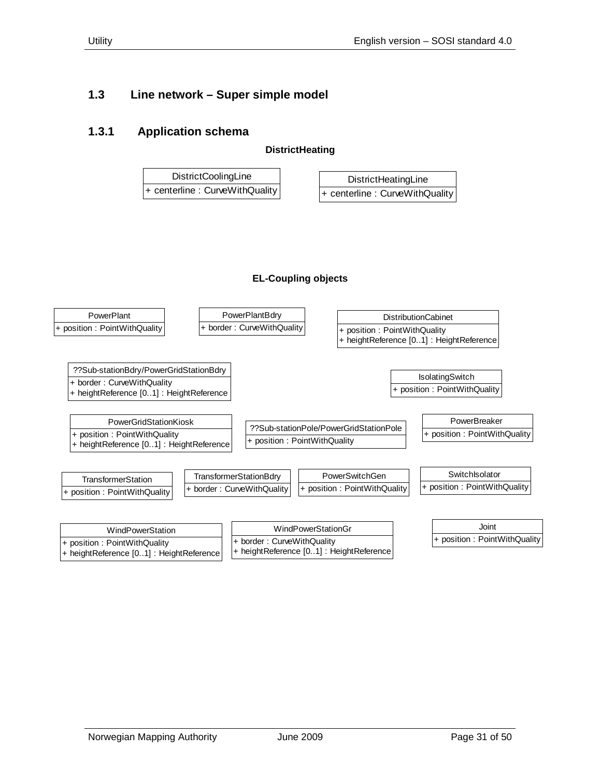## <span id="page-30-0"></span>**1.3 Line network – Super simple model**

#### <span id="page-30-1"></span>**1.3.1 Application schema**

**DistrictHeating**

| <b>DistrictCoolingLine</b>         | DistrictHeatingLine               |
|------------------------------------|-----------------------------------|
| $ +$ centerline : CurveWithQuality | $+$ centerline : CurveWithQuality |

#### **EL-Coupling objects**

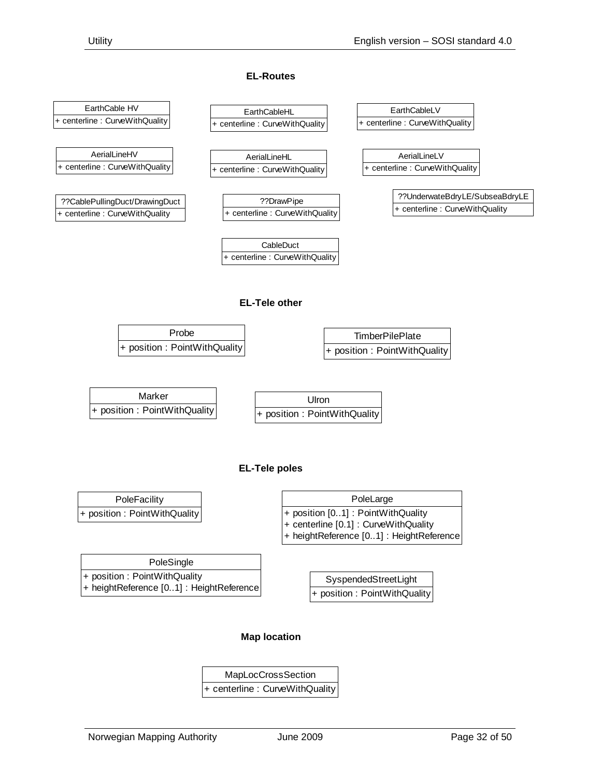#### **EL-Routes**

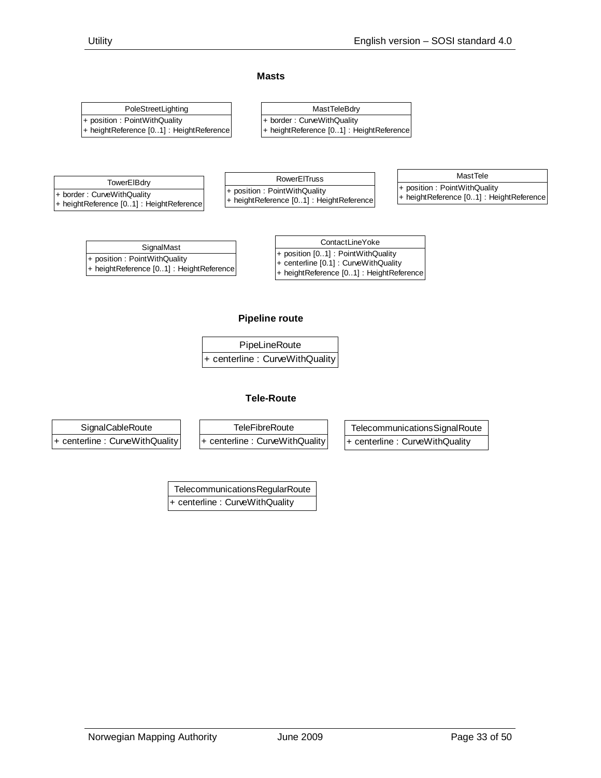#### **Masts**

| PoleStreetLighting |                                                   | MastTeleBdry                             |
|--------------------|---------------------------------------------------|------------------------------------------|
|                    | $ +$ position : Point With Quality                | + border: CurveWithQuality               |
|                    | $ + $ height Reference $[0.1]$ : Height Reference | + heightReference [01] : HeightReference |

| TowerEIBdry                              |
|------------------------------------------|
| + border: CurveWithQuality               |
| + heightReference [01] : HeightReference |

**RowerElTruss** + position : PointWithQuality + heightReference [0..1] : HeightReference

| MastTele                                |
|-----------------------------------------|
| + position: PointWithQuality            |
| + heightReference [01]: HeightReference |

| SignalMast<br>+ position [01] : PointWithQuality<br>+ position : PointWithQuality | ContactLineYoke                                                                         |
|-----------------------------------------------------------------------------------|-----------------------------------------------------------------------------------------|
| + heightReference [01] : HeightReference                                          | $+$ centerline $[0.1]$ : Curve With Quality<br>+ heightReference [01] : HeightReference |

#### **Pipeline route**

| PipeLineRoute                     |  |
|-----------------------------------|--|
| $+$ centerline : CurveWithQuality |  |

#### **Tele-Route**



**TelecommunicationsRegularRoute** + centerline : CurveWithQuality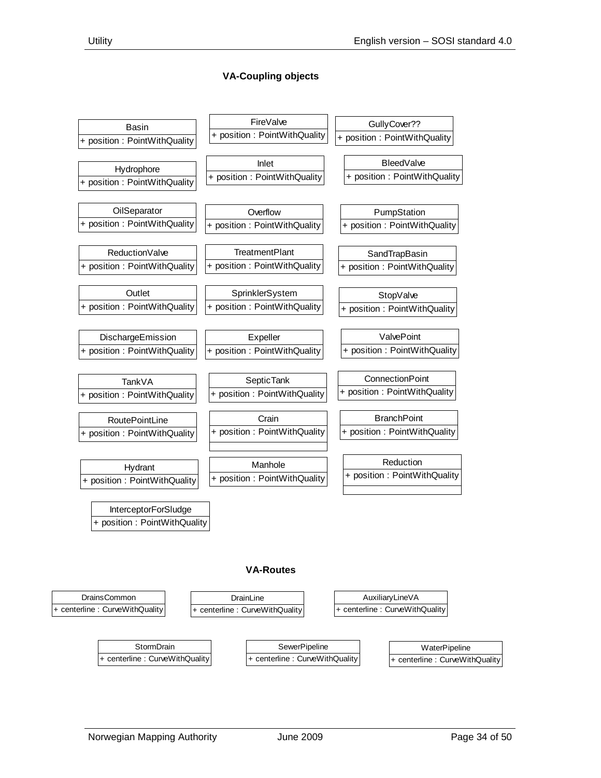#### **VA-Coupling objects**



#### **VA-Routes**

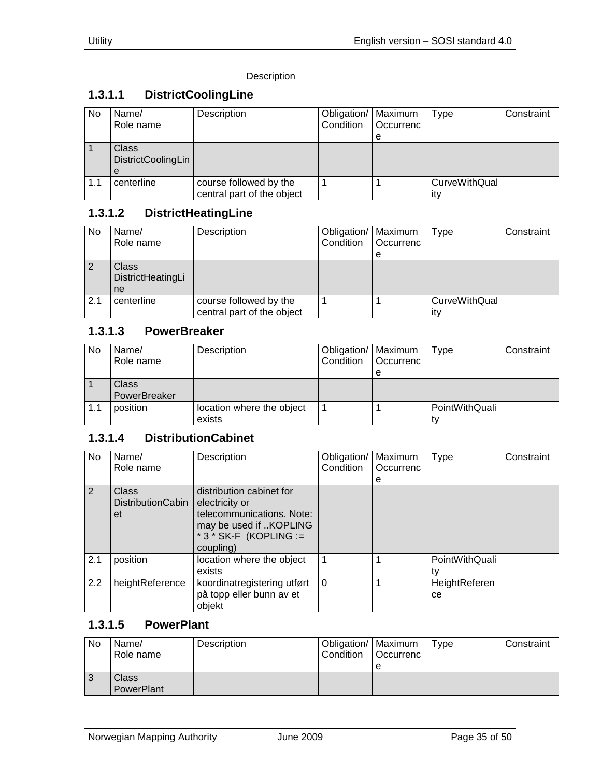#### Description

## <span id="page-34-0"></span>**1.3.1.1 DistrictCoolingLine**

| No  | Name/<br>Role name                             | Description                                          | Obligation/   Maximum<br>Condition | Occurrenc<br>е | Type                 | Constraint |
|-----|------------------------------------------------|------------------------------------------------------|------------------------------------|----------------|----------------------|------------|
|     | <b>Class</b><br><b>DistrictCoolingLin</b><br>e |                                                      |                                    |                |                      |            |
| 1.1 | centerline                                     | course followed by the<br>central part of the object |                                    |                | CurveWithQual<br>itv |            |

# <span id="page-34-1"></span>**1.3.1.2 DistrictHeatingLine**

| No  | Name/<br>Role name               | Description                                          | Obligation/   Maximum<br>Condition | <b>Occurrenc</b><br>e | Type                        | Constraint |
|-----|----------------------------------|------------------------------------------------------|------------------------------------|-----------------------|-----------------------------|------------|
|     | Class<br>DistrictHeatingLi<br>ne |                                                      |                                    |                       |                             |            |
| 2.1 | centerline                       | course followed by the<br>central part of the object |                                    |                       | <b>CurveWithQual</b><br>itv |            |

#### <span id="page-34-2"></span>**1.3.1.3 PowerBreaker**

| <b>No</b> | Name/<br>Role name | Description               | Obligation/   Maximum<br>Condition | Occurrenc | Type           | Constraint |
|-----------|--------------------|---------------------------|------------------------------------|-----------|----------------|------------|
|           |                    |                           |                                    |           |                |            |
|           | Class <sup>1</sup> |                           |                                    |           |                |            |
|           | PowerBreaker       |                           |                                    |           |                |            |
| 1.1       | position           | location where the object |                                    |           | PointWithQuali |            |
|           |                    | exists                    |                                    |           |                |            |

#### <span id="page-34-3"></span>**1.3.1.4 DistributionCabinet**

| No. | Name/<br>Role name                      | Description                                                                                                                             | Obligation/<br>Condition | Maximum<br>Occurrenc<br>е | Type                 | Constraint |
|-----|-----------------------------------------|-----------------------------------------------------------------------------------------------------------------------------------------|--------------------------|---------------------------|----------------------|------------|
| 2   | Class<br><b>DistributionCabin</b><br>et | distribution cabinet for<br>electricity or<br>telecommunications. Note:<br>may be used if KOPLING<br>$*3*SK-F$ (KOPLING :=<br>coupling) |                          |                           |                      |            |
| 2.1 | position                                | location where the object<br>exists                                                                                                     |                          |                           | PointWithQuali       |            |
| 2.2 | heightReference                         | koordinatregistering utført<br>på topp eller bunn av et<br>objekt                                                                       | $\Omega$                 |                           | HeightReferen<br>ce. |            |

# <span id="page-34-4"></span>**1.3.1.5 PowerPlant**

| No | Name/<br>Role name  | Description | Obligation/   Maximum<br><b>Condition</b> | <b>Occurrenc</b><br>e | Type | Constraint |
|----|---------------------|-------------|-------------------------------------------|-----------------------|------|------------|
| J  | Class<br>PowerPlant |             |                                           |                       |      |            |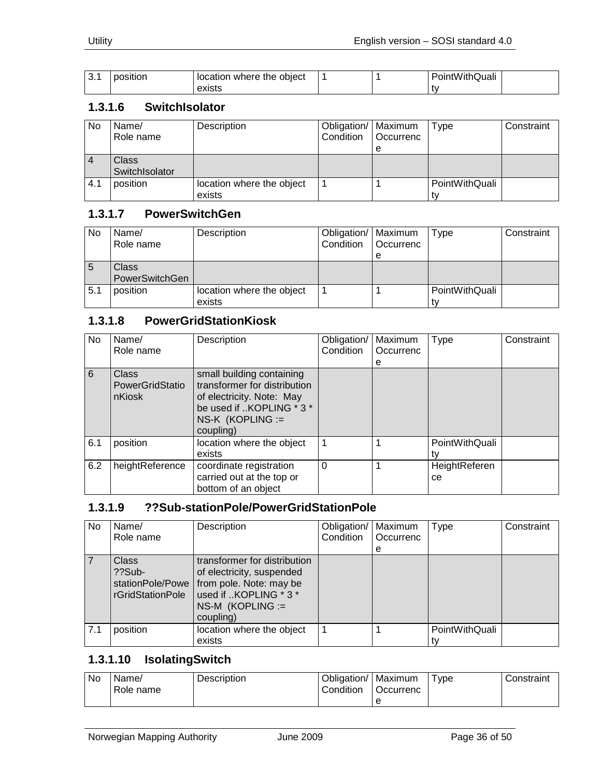| J. | position | location where the<br>obiect |  | ⊇ointWithQuali |  |
|----|----------|------------------------------|--|----------------|--|
|    |          | exists                       |  |                |  |

#### <span id="page-35-0"></span>**1.3.1.6 SwitchIsolator**

| No  | Name/<br>Role name             | Description                         | Obligation/   Maximum<br>Condition | <b>Occurrenc</b><br>е | Type           | Constraint |
|-----|--------------------------------|-------------------------------------|------------------------------------|-----------------------|----------------|------------|
| 4   | <b>Class</b><br>SwitchIsolator |                                     |                                    |                       |                |            |
| 4.1 | position                       | location where the object<br>exists |                                    |                       | PointWithQuali |            |

#### <span id="page-35-1"></span>**1.3.1.7 PowerSwitchGen**

| No  | Name/<br>Role name                    | Description                         | Obligation/   Maximum<br>Condition | <b>Occurrenc</b><br>е | Type           | Constraint |
|-----|---------------------------------------|-------------------------------------|------------------------------------|-----------------------|----------------|------------|
| 5   | <b>Class</b><br><b>PowerSwitchGen</b> |                                     |                                    |                       |                |            |
| 5.1 | position                              | location where the object<br>exists |                                    |                       | PointWithQuali |            |

#### <span id="page-35-2"></span>**1.3.1.8 PowerGridStationKiosk**

| No  | Name/<br>Role name                        | Description                                                                                                                                           | Obligation/<br>Condition | Maximum<br>Occurrenc<br>е | <b>Type</b>          | Constraint |
|-----|-------------------------------------------|-------------------------------------------------------------------------------------------------------------------------------------------------------|--------------------------|---------------------------|----------------------|------------|
| 6   | <b>Class</b><br>PowerGridStatio<br>nKiosk | small building containing<br>transformer for distribution<br>of electricity. Note: May<br>be used if KOPLING * 3 *<br>$NS-K$ (KOPLING :=<br>coupling) |                          |                           |                      |            |
| 6.1 | position                                  | location where the object<br>exists                                                                                                                   |                          |                           | PointWithQuali       |            |
| 6.2 | heightReference                           | coordinate registration<br>carried out at the top or<br>bottom of an object                                                                           | $\Omega$                 |                           | HeightReferen<br>ce. |            |

#### <span id="page-35-3"></span>**1.3.1.9 ??Sub-stationPole/PowerGridStationPole**

| No  | Name/<br>Role name                                               | Description                                                                                                                                      | Obligation/<br>Condition | Maximum<br>Occurrenc<br>e | <b>Type</b>    | Constraint |
|-----|------------------------------------------------------------------|--------------------------------------------------------------------------------------------------------------------------------------------------|--------------------------|---------------------------|----------------|------------|
|     | <b>Class</b><br>$??Sub-$<br>stationPole/Powe<br>rGridStationPole | transformer for distribution<br>of electricity, suspended<br>from pole. Note: may be<br>used if KOPLING * 3 *<br>$NS-M$ (KOPLING :=<br>coupling) |                          |                           |                |            |
| 7.1 | position                                                         | location where the object<br>exists                                                                                                              |                          |                           | PointWithQuali |            |

#### <span id="page-35-4"></span>**1.3.1.10 IsolatingSwitch**

| No. | Name/<br>Role name | <b>Description</b> | Obligation/<br>Condition | Maximum<br>Occurrenc | Type | Constraint |
|-----|--------------------|--------------------|--------------------------|----------------------|------|------------|
|     |                    |                    |                          | е                    |      |            |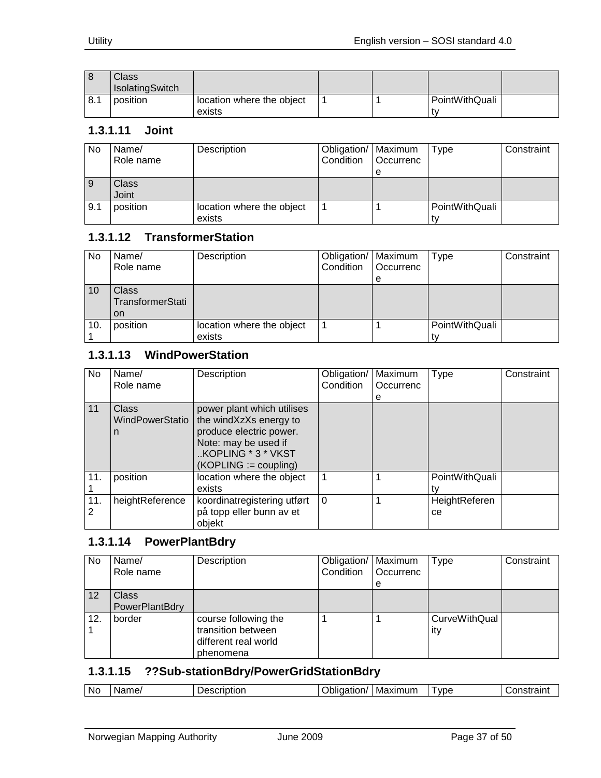|     | Class<br><b>IsolatingSwitch</b> |                                     |  |                |  |
|-----|---------------------------------|-------------------------------------|--|----------------|--|
| 8.1 | position                        | location where the object<br>exists |  | PointWithQuali |  |

#### <span id="page-36-0"></span>**1.3.1.11 Joint**

| No  | Name/<br>Role name | Description               | Obligation/   Maximum<br>Condition | l Occurrenc | Type           | Constraint |
|-----|--------------------|---------------------------|------------------------------------|-------------|----------------|------------|
|     |                    |                           |                                    | е           |                |            |
|     | <b>Class</b>       |                           |                                    |             |                |            |
|     | Joint              |                           |                                    |             |                |            |
| 9.1 | position           | location where the object |                                    |             | PointWithQuali |            |
|     |                    | exists                    |                                    |             |                |            |

#### <span id="page-36-1"></span>**1.3.1.12 TransformerStation**

| No  | Name/<br>Role name                            | Description                         | Obligation/   Maximum<br>Condition | Occurrenc<br>е | Type                 | Constraint |
|-----|-----------------------------------------------|-------------------------------------|------------------------------------|----------------|----------------------|------------|
| 10  | <b>Class</b><br>TransformerStati<br><b>on</b> |                                     |                                    |                |                      |            |
| 10. | position                                      | location where the object<br>exists |                                    |                | PointWithQuali<br>t٧ |            |

#### <span id="page-36-2"></span>**1.3.1.13 WindPowerStation**

| No.      | Name/<br>Role name                   | Description                                                                                                                                              | Obligation/<br>Condition | Maximum<br>Occurrenc<br>е | <b>Type</b>          | Constraint |
|----------|--------------------------------------|----------------------------------------------------------------------------------------------------------------------------------------------------------|--------------------------|---------------------------|----------------------|------------|
| 11       | <b>Class</b><br>WindPowerStatio<br>n | power plant which utilises<br>the windXzXs energy to<br>produce electric power.<br>Note: may be used if<br>KOPLING * 3 * VKST<br>$(KOPLING := coupling)$ |                          |                           |                      |            |
| 11.      | position                             | location where the object<br>exists                                                                                                                      |                          |                           | PointWithQuali       |            |
| 11.<br>2 | heightReference                      | koordinatregistering utført<br>på topp eller bunn av et<br>objekt                                                                                        | $\Omega$                 |                           | HeightReferen<br>ce. |            |

#### <span id="page-36-3"></span>**1.3.1.14 PowerPlantBdry**

| No  | Name/<br>Role name             | Description                                                                     | Obligation/   Maximum<br>Condition | Occurrenc<br>е | <b>Type</b>          | Constraint |
|-----|--------------------------------|---------------------------------------------------------------------------------|------------------------------------|----------------|----------------------|------------|
| 12  | <b>Class</b><br>PowerPlantBdry |                                                                                 |                                    |                |                      |            |
| 12. | border                         | course following the<br>transition between<br>different real world<br>phenomena |                                    |                | CurveWithQual<br>ity |            |

#### <span id="page-36-4"></span>**1.3.1.15 ??Sub-stationBdry/PowerGridStationBdry**

| Νc | ame,<br>N. | acorintior.<br>escription<br>אמו | .<br>tion/<br>11117 | Maximum | vpe | .<br>.ns |
|----|------------|----------------------------------|---------------------|---------|-----|----------|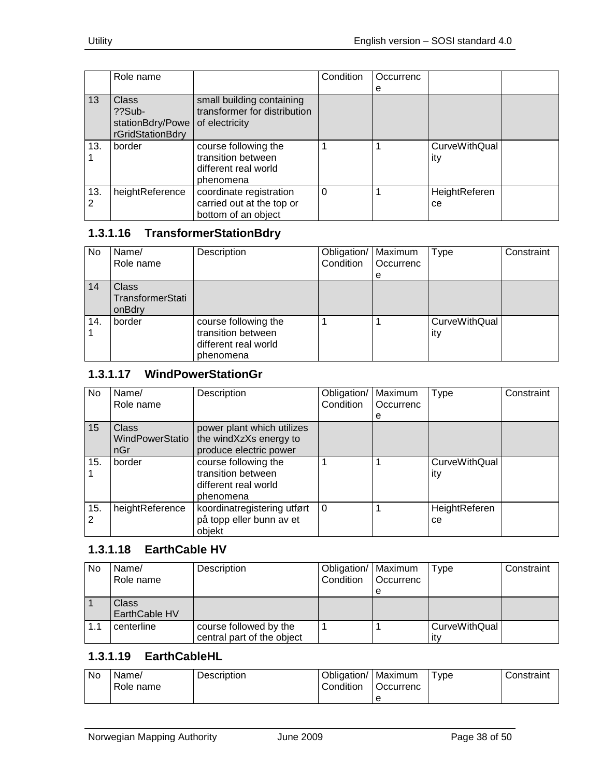|          | Role name                            |                                                                                 | Condition | Occurrenc |                             |  |
|----------|--------------------------------------|---------------------------------------------------------------------------------|-----------|-----------|-----------------------------|--|
|          |                                      |                                                                                 |           | е         |                             |  |
| 13       | Class<br>$?$ ?Sub-                   | small building containing<br>transformer for distribution                       |           |           |                             |  |
|          | stationBdry/Powe<br>rGridStationBdry | of electricity                                                                  |           |           |                             |  |
| 13.      | border                               | course following the<br>transition between<br>different real world<br>phenomena |           |           | <b>CurveWithQual</b><br>ity |  |
| 13.<br>2 | heightReference                      | coordinate registration<br>carried out at the top or<br>bottom of an object     | 0         |           | HeightReferen<br>ce.        |  |

#### <span id="page-37-0"></span>**1.3.1.16 TransformerStationBdry**

| No  | Name/<br>Role name                         | Description                                                                     | Obligation/   Maximum<br>Condition | Occurrenc<br>е | Type                 | Constraint |
|-----|--------------------------------------------|---------------------------------------------------------------------------------|------------------------------------|----------------|----------------------|------------|
| 14  | <b>Class</b><br>TransformerStati<br>onBdry |                                                                                 |                                    |                |                      |            |
| 14. | border                                     | course following the<br>transition between<br>different real world<br>phenomena |                                    |                | CurveWithQual<br>ity |            |

# <span id="page-37-1"></span>**1.3.1.17 WindPowerStationGr**

| No.      | Name/                                  | Description                                                                     | Obligation/ | Maximum   | <b>Type</b>                 | Constraint |
|----------|----------------------------------------|---------------------------------------------------------------------------------|-------------|-----------|-----------------------------|------------|
|          | Role name                              |                                                                                 | Condition   | Occurrenc |                             |            |
|          |                                        |                                                                                 |             | е         |                             |            |
| 15       | <b>Class</b><br>WindPowerStatio<br>nGr | power plant which utilizes<br>the windXzXs energy to<br>produce electric power  |             |           |                             |            |
| 15.      | border                                 | course following the<br>transition between<br>different real world<br>phenomena |             |           | <b>CurveWithQual</b><br>ity |            |
| 15.<br>2 | heightReference                        | koordinatregistering utført<br>på topp eller bunn av et<br>objekt               | $\Omega$    |           | HeightReferen<br>ce         |            |

#### <span id="page-37-2"></span>**1.3.1.18 EarthCable HV**

| No  | Name/<br>Role name     | Description                                          | Obligation/   Maximum<br>Condition | <b>Occurrenc</b><br>e | Type                 | Constraint |
|-----|------------------------|------------------------------------------------------|------------------------------------|-----------------------|----------------------|------------|
|     | Class<br>EarthCable HV |                                                      |                                    |                       |                      |            |
| 1.1 | centerline             | course followed by the<br>central part of the object |                                    |                       | CurveWithQual<br>itv |            |

## <span id="page-37-3"></span>**1.3.1.19 EarthCableHL**

| No. | Name/<br>Role name | <b>Description</b> | Obligation/<br>Condition | Maximum<br>Occurrenc | vpe <sup>-</sup> | Constraint |
|-----|--------------------|--------------------|--------------------------|----------------------|------------------|------------|
|     |                    |                    |                          |                      |                  |            |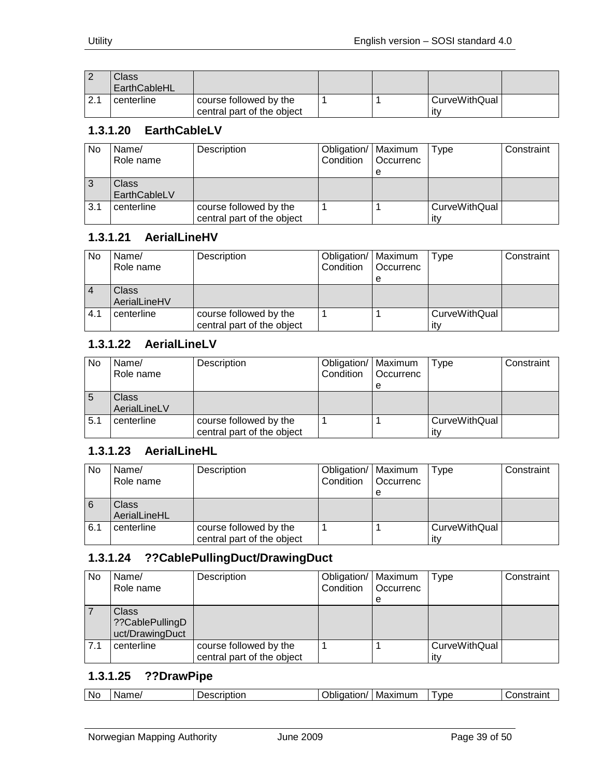|      | $\mathcal{L}$ lass<br>EarthCableHL |                                                      |  |                              |  |
|------|------------------------------------|------------------------------------------------------|--|------------------------------|--|
| 12.1 | centerline                         | course followed by the<br>central part of the object |  | <b>CurveWithQual</b><br>-ity |  |

## <span id="page-38-0"></span>**1.3.1.20 EarthCableLV**

| No  | Name/<br>Role name | Description                | Obligation/   Maximum<br>Condition | l Occurrenc | Tvpe          | Constraint |
|-----|--------------------|----------------------------|------------------------------------|-------------|---------------|------------|
|     |                    |                            |                                    | е           |               |            |
| 3   | Class              |                            |                                    |             |               |            |
|     | EarthCableLV       |                            |                                    |             |               |            |
| 3.1 | centerline         | course followed by the     |                                    |             | CurveWithQual |            |
|     |                    | central part of the object |                                    |             | itv           |            |

#### <span id="page-38-1"></span>**1.3.1.21 AerialLineHV**

| No             | Name/<br>Role name    | Description                                          | Obligation/   Maximum<br>Condition | <b>Occurrenc</b><br>е | Type                        | Constraint |
|----------------|-----------------------|------------------------------------------------------|------------------------------------|-----------------------|-----------------------------|------------|
| $\overline{4}$ | Class<br>AerialLineHV |                                                      |                                    |                       |                             |            |
| 4.1            | centerline            | course followed by the<br>central part of the object |                                    |                       | <b>CurveWithQual</b><br>itv |            |

## <span id="page-38-2"></span>**1.3.1.22 AerialLineLV**

| No  | Name/<br>Role name | Description                | Obligation/   Maximum<br>Condition | <b>Occurrenc</b> | <b>Type</b>   | Constraint |
|-----|--------------------|----------------------------|------------------------------------|------------------|---------------|------------|
|     |                    |                            |                                    | е                |               |            |
| 5   | Class              |                            |                                    |                  |               |            |
|     | AerialLineLV       |                            |                                    |                  |               |            |
| 5.1 | centerline         | course followed by the     |                                    |                  | CurveWithQual |            |
|     |                    | central part of the object |                                    |                  | itv           |            |

#### <span id="page-38-3"></span>**1.3.1.23 AerialLineHL**

| <b>No</b>      | Name/<br>Role name    | Description                                          | Obligation/   Maximum<br>Condition | l Occurrenc<br>е | Type                 | Constraint |
|----------------|-----------------------|------------------------------------------------------|------------------------------------|------------------|----------------------|------------|
| $\overline{6}$ | Class<br>AerialLineHL |                                                      |                                    |                  |                      |            |
| 6.1            | centerline            | course followed by the<br>central part of the object |                                    |                  | CurveWithQual<br>itv |            |

# <span id="page-38-4"></span>**1.3.1.24 ??CablePullingDuct/DrawingDuct**

| <b>No</b> | Name/<br>Role name                                 | Description                                          | Obligation/   Maximum<br>Condition | Occurrenc | Type                        | Constraint |
|-----------|----------------------------------------------------|------------------------------------------------------|------------------------------------|-----------|-----------------------------|------------|
|           |                                                    |                                                      |                                    | е         |                             |            |
|           | <b>Class</b><br>??CablePullingD<br>uct/DrawingDuct |                                                      |                                    |           |                             |            |
| 7.1       | centerline                                         | course followed by the<br>central part of the object |                                    |           | <b>CurveWithQual</b><br>ıtv |            |

#### <span id="page-38-5"></span>**1.3.1.25 ??DrawPipe**

|  | No. | Name | ാലെ<br>scriptior | Polic.<br>Maximum<br>.<br>aation<br> | ' vpe | -----------<br>…or⊆<br>пэнанн |
|--|-----|------|------------------|--------------------------------------|-------|-------------------------------|
|--|-----|------|------------------|--------------------------------------|-------|-------------------------------|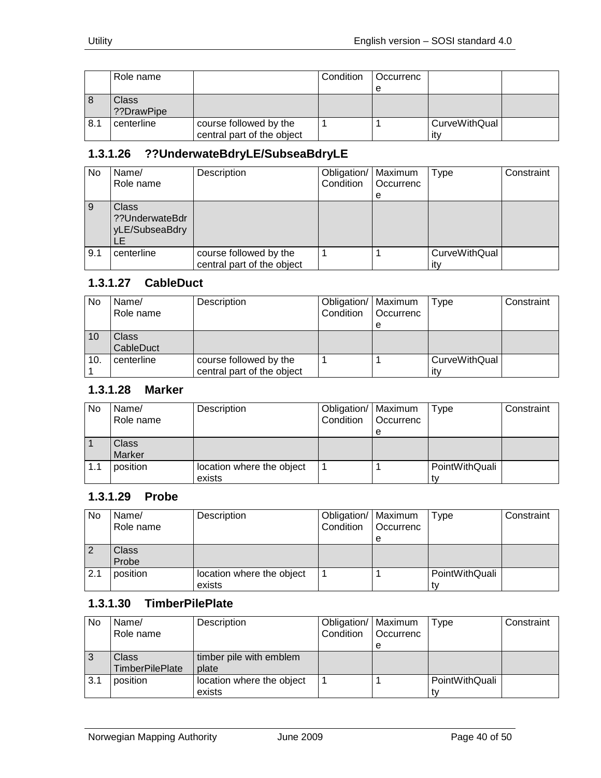|     | Role name            |                                                      | Condition | Occurrenc |                      |  |
|-----|----------------------|------------------------------------------------------|-----------|-----------|----------------------|--|
|     |                      |                                                      |           | е         |                      |  |
| 8   | Class<br>??DrawPipe? |                                                      |           |           |                      |  |
| 8.1 | centerline           | course followed by the<br>central part of the object |           |           | CurveWithQual<br>it۷ |  |

# <span id="page-39-0"></span>**1.3.1.26 ??UnderwateBdryLE/SubseaBdryLE**

| <b>No</b> | Name/<br>Role name                               | Description                                          | Obligation/<br>Condition | Maximum<br>Occurrenc<br>е | Type                        | Constraint |
|-----------|--------------------------------------------------|------------------------------------------------------|--------------------------|---------------------------|-----------------------------|------------|
| 9         | <b>Class</b><br>??UnderwateBdr<br>yLE/SubseaBdry |                                                      |                          |                           |                             |            |
| 9.1       | centerline                                       | course followed by the<br>central part of the object |                          |                           | <b>CurveWithQual</b><br>ıt٧ |            |

#### <span id="page-39-1"></span>**1.3.1.27 CableDuct**

| No  | Name/<br>Role name | Description                                          | Obligation/   Maximum<br>Condition | <b>Occurrenc</b><br>е | Type                 | Constraint |
|-----|--------------------|------------------------------------------------------|------------------------------------|-----------------------|----------------------|------------|
| 10  | Class<br>CableDuct |                                                      |                                    |                       |                      |            |
| 10. | centerline         | course followed by the<br>central part of the object |                                    |                       | CurveWithQual<br>itv |            |

## <span id="page-39-2"></span>**1.3.1.28 Marker**

| No  | Name/<br>Role name | Description               | Obligation/   Maximum<br>Condition | <b>Occurrenc</b> | Type           | Constraint |
|-----|--------------------|---------------------------|------------------------------------|------------------|----------------|------------|
|     |                    |                           |                                    | е                |                |            |
|     | <b>Class</b>       |                           |                                    |                  |                |            |
|     | Marker             |                           |                                    |                  |                |            |
| 1.1 | position           | location where the object |                                    |                  | PointWithQuali |            |
|     |                    | exists                    |                                    |                  |                |            |

#### <span id="page-39-3"></span>**1.3.1.29 Probe**

| <b>No</b>      | Name/<br>Role name | Description                         | Obligation/   Maximum<br>Condition | l Occurrenc<br>е | Type           | Constraint |
|----------------|--------------------|-------------------------------------|------------------------------------|------------------|----------------|------------|
| $\overline{2}$ | Class<br>Probe     |                                     |                                    |                  |                |            |
| 2.1            | position           | location where the object<br>exists |                                    |                  | PointWithQuali |            |

## <span id="page-39-4"></span>**1.3.1.30 TimberPilePlate**

| No  | Name/                  | Description               | Obligation/   Maximum |           | Type           | Constraint |
|-----|------------------------|---------------------------|-----------------------|-----------|----------------|------------|
|     | Role name              |                           | Condition             | Occurrenc |                |            |
|     |                        |                           |                       | е         |                |            |
| 3   | <b>Class</b>           | timber pile with emblem   |                       |           |                |            |
|     | <b>TimberPilePlate</b> | plate                     |                       |           |                |            |
| 3.1 | position               | location where the object |                       |           | PointWithQuali |            |
|     |                        | exists                    |                       |           |                |            |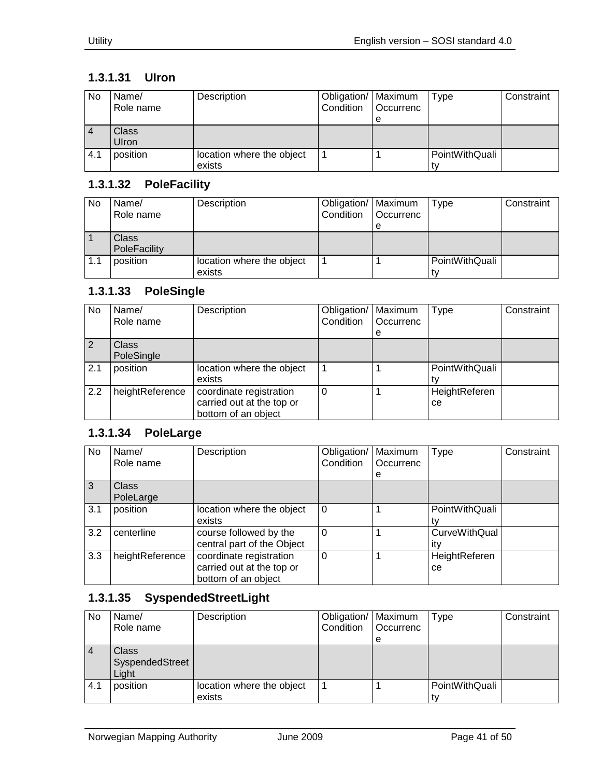## <span id="page-40-0"></span>**1.3.1.31 UIron**

| No  | Name/<br>Role name    | Description                         | Obligation/   Maximum<br>Condition | <b>Occurrenc</b><br>e | Type           | Constraint |
|-----|-----------------------|-------------------------------------|------------------------------------|-----------------------|----------------|------------|
|     | <b>Class</b><br>Ulron |                                     |                                    |                       |                |            |
| 4.1 | position              | location where the object<br>exists |                                    |                       | PointWithQuali |            |

#### <span id="page-40-1"></span>**1.3.1.32 PoleFacility**

| No  | Name/<br>Role name | Description               | Obligation/   Maximum<br>Condition | Occurrenc | Type           | Constraint |
|-----|--------------------|---------------------------|------------------------------------|-----------|----------------|------------|
|     |                    |                           |                                    | e         |                |            |
|     | Class              |                           |                                    |           |                |            |
|     | PoleFacility       |                           |                                    |           |                |            |
| 1.1 | position           | location where the object |                                    |           | PointWithQuali |            |
|     |                    | exists                    |                                    |           |                |            |

#### <span id="page-40-2"></span>**1.3.1.33 PoleSingle**

| No  | Name/<br>Role name         | Description                                                                 | Obligation/<br>Condition | Maximum<br>Occurrenc<br>e | Type                | Constraint |
|-----|----------------------------|-----------------------------------------------------------------------------|--------------------------|---------------------------|---------------------|------------|
| 2   | <b>Class</b><br>PoleSingle |                                                                             |                          |                           |                     |            |
| 2.1 | position                   | location where the object<br>exists                                         |                          |                           | PointWithQuali      |            |
| 2.2 | heightReference            | coordinate registration<br>carried out at the top or<br>bottom of an object |                          |                           | HeightReferen<br>ce |            |

## <span id="page-40-3"></span>**1.3.1.34 PoleLarge**

| No. | Name/<br>Role name        | Description                                                                 | Obligation/   Maximum<br>Condition | Occurrenc<br>е | Type                        | Constraint |
|-----|---------------------------|-----------------------------------------------------------------------------|------------------------------------|----------------|-----------------------------|------------|
| 3   | <b>Class</b><br>PoleLarge |                                                                             |                                    |                |                             |            |
| 3.1 | position                  | location where the object<br>exists                                         | $\Omega$                           |                | PointWithQuali              |            |
| 3.2 | centerline                | course followed by the<br>central part of the Object                        | 0                                  |                | <b>CurveWithQual</b><br>itv |            |
| 3.3 | heightReference           | coordinate registration<br>carried out at the top or<br>bottom of an object | 0                                  |                | HeightReferen<br>ce.        |            |

# <span id="page-40-4"></span>**1.3.1.35 SyspendedStreetLight**

| No  | Name/<br>Role name                | Description                         | Obligation/   Maximum<br>Condition | <b>Occurrenc</b><br>e | Type           | Constraint |
|-----|-----------------------------------|-------------------------------------|------------------------------------|-----------------------|----------------|------------|
|     | Class<br>SyspendedStreet<br>Light |                                     |                                    |                       |                |            |
| 4.1 | position                          | location where the object<br>exists |                                    |                       | PointWithQuali |            |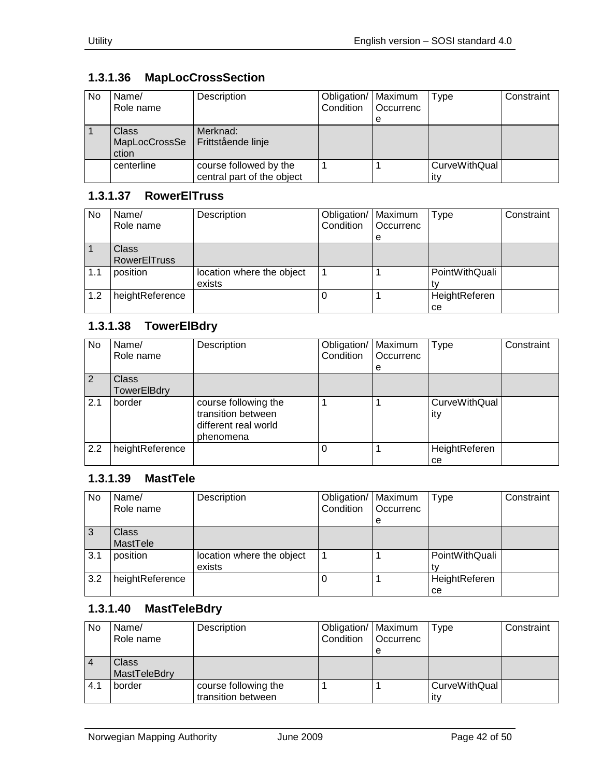# <span id="page-41-0"></span>**1.3.1.36 MapLocCrossSection**

| No | Name/<br>Role name                     | Description                                          | Obligation/   Maximum<br>Condition | <b>Occurrenc</b><br>e | Type                 | Constraint |
|----|----------------------------------------|------------------------------------------------------|------------------------------------|-----------------------|----------------------|------------|
|    | <b>Class</b><br>MapLocCrossSe<br>ction | Merknad:<br>Frittstående linje                       |                                    |                       |                      |            |
|    | centerline                             | course followed by the<br>central part of the object |                                    |                       | CurveWithQual<br>itv |            |

#### <span id="page-41-1"></span>**1.3.1.37 RowerElTruss**

| No  | Name/<br>Role name                  | Description                         | Obligation/   Maximum<br>Condition | Occurrenc<br>e | Type                | Constraint |
|-----|-------------------------------------|-------------------------------------|------------------------------------|----------------|---------------------|------------|
|     | <b>Class</b><br><b>RowerEITruss</b> |                                     |                                    |                |                     |            |
| 1.1 | position                            | location where the object<br>exists |                                    |                | PointWithQuali      |            |
| 1.2 | heightReference                     |                                     |                                    |                | HeightReferen<br>ce |            |

# <span id="page-41-2"></span>**1.3.1.38 TowerElBdry**

| No  | Name/<br>Role name          | Description                                                                     | Obligation/<br>Condition | Maximum<br>Occurrenc<br>e | <b>Type</b>                 | Constraint |
|-----|-----------------------------|---------------------------------------------------------------------------------|--------------------------|---------------------------|-----------------------------|------------|
| 2   | <b>Class</b><br>TowerElBdry |                                                                                 |                          |                           |                             |            |
| 2.1 | border                      | course following the<br>transition between<br>different real world<br>phenomena |                          |                           | <b>CurveWithQual</b><br>ity |            |
| 2.2 | heightReference             |                                                                                 | O                        |                           | HeightReferen<br>ce         |            |

# <span id="page-41-3"></span>**1.3.1.39 MastTele**

| No  | Name/<br>Role name       | Description                         | Obligation/<br>Condition | Maximum<br>Occurrenc<br>e | Type                | Constraint |
|-----|--------------------------|-------------------------------------|--------------------------|---------------------------|---------------------|------------|
| 3   | <b>Class</b><br>MastTele |                                     |                          |                           |                     |            |
| 3.1 | position                 | location where the object<br>exists |                          |                           | PointWithQuali      |            |
| 3.2 | heightReference          |                                     |                          |                           | HeightReferen<br>ce |            |

#### <span id="page-41-4"></span>**1.3.1.40 MastTeleBdry**

| No             | Name/        | Description          | Obligation/   Maximum |                  | Type                 | Constraint |
|----------------|--------------|----------------------|-----------------------|------------------|----------------------|------------|
|                | Role name    |                      | Condition             | <b>Occurrenc</b> |                      |            |
|                |              |                      |                       | е                |                      |            |
| $\overline{4}$ | Class        |                      |                       |                  |                      |            |
|                | MastTeleBdry |                      |                       |                  |                      |            |
| 4.1            | border       | course following the |                       |                  | <b>CurveWithQual</b> |            |
|                |              | transition between   |                       |                  | itv                  |            |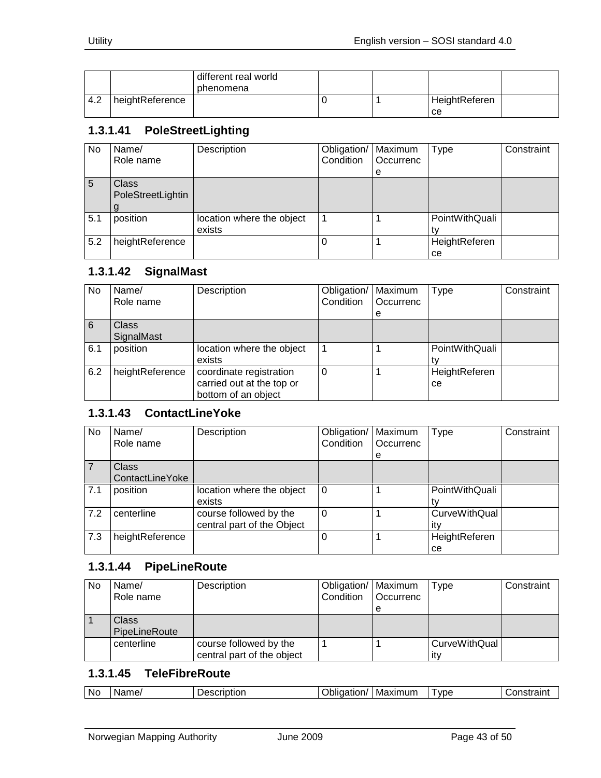|     |                 | different real world<br>phenomena |  |                     |  |
|-----|-----------------|-----------------------------------|--|---------------------|--|
| 4.2 | heightReference |                                   |  | HeightReferen<br>ce |  |

#### <span id="page-42-0"></span>**1.3.1.41 PoleStreetLighting**

| No. | Name/<br>Role name                | Description                         | Obligation/   Maximum<br>Condition | Occurrenc<br>e | Type                | Constraint |
|-----|-----------------------------------|-------------------------------------|------------------------------------|----------------|---------------------|------------|
| 5   | <b>Class</b><br>PoleStreetLightin |                                     |                                    |                |                     |            |
| 5.1 | position                          | location where the object<br>exists |                                    |                | PointWithQuali      |            |
| 5.2 | heightReference                   |                                     | 0                                  |                | HeightReferen<br>ce |            |

#### <span id="page-42-1"></span>**1.3.1.42 SignalMast**

| No  | Name/<br>Role name         | Description                                                                 | Obligation/<br>Condition | Maximum<br>Occurrenc<br>e | Type                 | Constraint |
|-----|----------------------------|-----------------------------------------------------------------------------|--------------------------|---------------------------|----------------------|------------|
| 6   | <b>Class</b><br>SignalMast |                                                                             |                          |                           |                      |            |
| 6.1 | position                   | location where the object<br>exists                                         |                          |                           | PointWithQuali       |            |
| 6.2 | heightReference            | coordinate registration<br>carried out at the top or<br>bottom of an object | 0                        |                           | HeightReferen<br>ce. |            |

#### <span id="page-42-2"></span>**1.3.1.43 ContactLineYoke**

| No  | Name/<br>Role name              | Description                                          | Obligation/<br>Condition | Maximum<br>Occurrenc<br>e | <b>Type</b>                 | Constraint |
|-----|---------------------------------|------------------------------------------------------|--------------------------|---------------------------|-----------------------------|------------|
|     | <b>Class</b><br>ContactLineYoke |                                                      |                          |                           |                             |            |
| 7.1 | position                        | location where the object<br>exists                  | $\Omega$                 |                           | PointWithQuali              |            |
| 7.2 | centerline                      | course followed by the<br>central part of the Object | 0                        |                           | <b>CurveWithQual</b><br>itv |            |
| 7.3 | heightReference                 |                                                      |                          |                           | HeightReferen<br>ce         |            |

#### <span id="page-42-3"></span>**1.3.1.44 PipeLineRoute**

| No | Name/<br>Role name     | Description                                          | Obligation/   Maximum<br>Condition | <b>Occurrenc</b><br>e | Type                        | Constraint |
|----|------------------------|------------------------------------------------------|------------------------------------|-----------------------|-----------------------------|------------|
|    | Class<br>PipeLineRoute |                                                      |                                    |                       |                             |            |
|    | centerline             | course followed by the<br>central part of the object |                                    |                       | <b>CurveWithQual</b><br>ıtv |            |

#### <span id="page-42-4"></span>**1.3.1.45 TeleFibreRoute**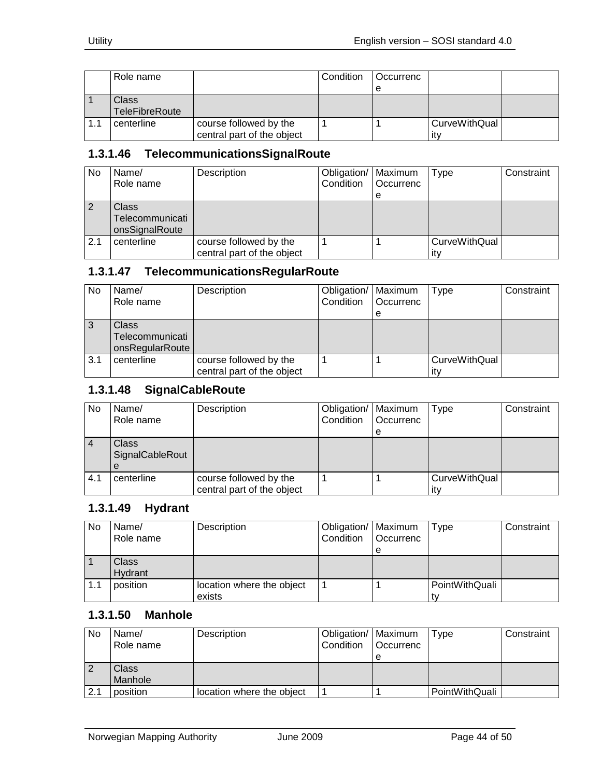|     | Role name                      |                                                      | Condition | Occurrenc |                      |  |
|-----|--------------------------------|------------------------------------------------------|-----------|-----------|----------------------|--|
|     |                                |                                                      |           | е         |                      |  |
|     | Class<br><b>TeleFibreRoute</b> |                                                      |           |           |                      |  |
| 1.1 | centerline                     | course followed by the<br>central part of the object |           |           | CurveWithQual<br>it۷ |  |

#### <span id="page-43-0"></span>**1.3.1.46 TelecommunicationsSignalRoute**

| <b>No</b> | Name/                                             | Description                                          | Obligation/   Maximum |                  | Type                 | Constraint |
|-----------|---------------------------------------------------|------------------------------------------------------|-----------------------|------------------|----------------------|------------|
|           | Role name                                         |                                                      | Condition             | <b>Occurrenc</b> |                      |            |
|           |                                                   |                                                      |                       | е                |                      |            |
|           | <b>Class</b><br>Telecommunicati<br>onsSignalRoute |                                                      |                       |                  |                      |            |
| 2.1       | centerline                                        | course followed by the<br>central part of the object |                       |                  | CurveWithQual<br>itv |            |

#### <span id="page-43-1"></span>**1.3.1.47 TelecommunicationsRegularRoute**

| <b>No</b> | Name/           | Description                | Obligation/   Maximum |           | Type                 | Constraint |
|-----------|-----------------|----------------------------|-----------------------|-----------|----------------------|------------|
|           | Role name       |                            | Condition             | Occurrenc |                      |            |
|           |                 |                            |                       | е         |                      |            |
|           | <b>Class</b>    |                            |                       |           |                      |            |
|           | Telecommunicati |                            |                       |           |                      |            |
|           | onsRegularRoute |                            |                       |           |                      |            |
| 3.1       | centerline      | course followed by the     |                       |           | <b>CurveWithQual</b> |            |
|           |                 | central part of the object |                       |           | ıt۷                  |            |

#### <span id="page-43-2"></span>**1.3.1.48 SignalCableRoute**

| <b>No</b> | Name/<br>Role name                   | Description                                          | Obligation/   Maximum<br>Condition | <b>Occurrenc</b><br>е | <b>Type</b>          | Constraint |
|-----------|--------------------------------------|------------------------------------------------------|------------------------------------|-----------------------|----------------------|------------|
|           | <b>Class</b><br>SignalCableRout<br>e |                                                      |                                    |                       |                      |            |
| 4.1       | centerline                           | course followed by the<br>central part of the object |                                    |                       | CurveWithQual<br>ıtv |            |

#### <span id="page-43-3"></span>**1.3.1.49 Hydrant**

| No  | Name/<br>Role name | Description                         | Obligation/   Maximum<br>Condition | <b>Occurrenc</b><br>е | Type           | Constraint |
|-----|--------------------|-------------------------------------|------------------------------------|-----------------------|----------------|------------|
|     | Class<br>Hydrant   |                                     |                                    |                       |                |            |
| 1.1 | position           | location where the object<br>exists |                                    |                       | PointWithQuali |            |

#### <span id="page-43-4"></span>**1.3.1.50 Manhole**

| No  | Name/<br>Role name | Description               | Obligation/   Maximum<br>Condition | <b>Occurrenc</b> | Type           | Constraint |
|-----|--------------------|---------------------------|------------------------------------|------------------|----------------|------------|
|     |                    |                           |                                    |                  |                |            |
|     | Class              |                           |                                    |                  |                |            |
|     | Manhole            |                           |                                    |                  |                |            |
| 2.1 | position           | location where the object |                                    |                  | PointWithQuali |            |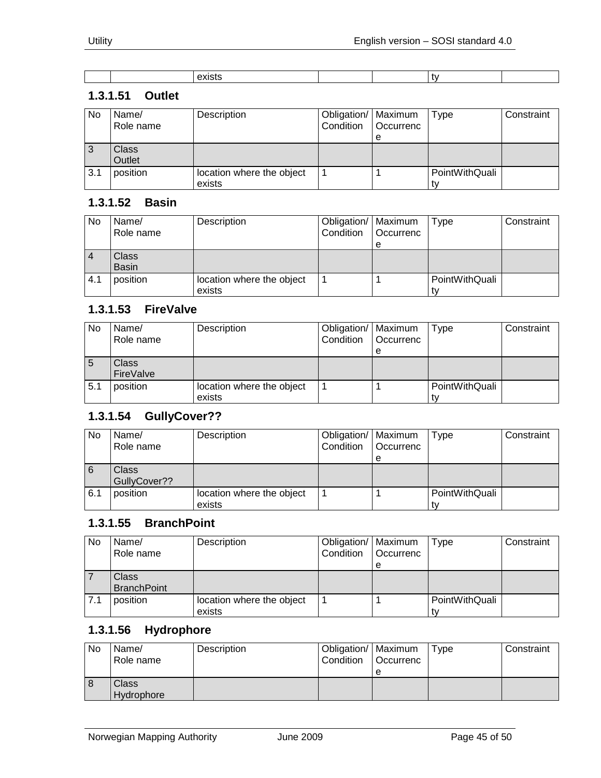#### <span id="page-44-0"></span>**1.3.1.51 Outlet**

| No  | Name/<br>Role name | Description                         | Obligation/   Maximum<br>Condition | <b>Occurrenc</b><br>е | Type           | Constraint |
|-----|--------------------|-------------------------------------|------------------------------------|-----------------------|----------------|------------|
| 3   | Class<br>Outlet    |                                     |                                    |                       |                |            |
| 3.1 | position           | location where the object<br>exists |                                    |                       | PointWithQuali |            |

#### <span id="page-44-1"></span>**1.3.1.52 Basin**

| No  | Name/<br>Role name | Description               | Obligation/   Maximum<br>Condition | <b>Occurrenc</b> | Type           | Constraint |
|-----|--------------------|---------------------------|------------------------------------|------------------|----------------|------------|
|     |                    |                           |                                    | е                |                |            |
|     | Class              |                           |                                    |                  |                |            |
|     | <b>Basin</b>       |                           |                                    |                  |                |            |
| 4.1 | position           | location where the object |                                    |                  | PointWithQuali |            |
|     |                    | exists                    |                                    |                  |                |            |

#### <span id="page-44-2"></span>**1.3.1.53 FireValve**

| No          | Name/<br>Role name | Description                         | Obligation/   Maximum<br>Condition | Occurrenc<br>е | Type           | Constraint |
|-------------|--------------------|-------------------------------------|------------------------------------|----------------|----------------|------------|
| $\mathbf b$ | Class<br>FireValve |                                     |                                    |                |                |            |
| 5.1         | position           | location where the object<br>exists |                                    |                | PointWithQuali |            |

#### <span id="page-44-3"></span>**1.3.1.54 GullyCover??**

| No  | Name/        | Description               | Obligation/   Maximum |                  | Type           | Constraint |
|-----|--------------|---------------------------|-----------------------|------------------|----------------|------------|
|     | Role name    |                           | Condition             | <b>Occurrenc</b> |                |            |
|     |              |                           |                       | е                |                |            |
| 6   | <b>Class</b> |                           |                       |                  |                |            |
|     | GullyCover?? |                           |                       |                  |                |            |
| 6.1 | position     | location where the object |                       |                  | PointWithQuali |            |
|     |              | exists                    |                       |                  |                |            |

#### <span id="page-44-4"></span>**1.3.1.55 BranchPoint**

| No  | Name/<br>Role name | Description               | Obligation/   Maximum<br>Condition | <b>Occurrenc</b> | Type           | Constraint |
|-----|--------------------|---------------------------|------------------------------------|------------------|----------------|------------|
|     |                    |                           |                                    | e                |                |            |
|     | Class              |                           |                                    |                  |                |            |
|     | <b>BranchPoint</b> |                           |                                    |                  |                |            |
| 7.1 | position           | location where the object |                                    |                  | PointWithQuali |            |
|     |                    | exists                    |                                    |                  |                |            |

#### <span id="page-44-5"></span>**1.3.1.56 Hydrophore**

| No | Name/<br>Role name  | Description | 'Obligation/   Maximum<br>Condition | l Occurrenc<br>е | Type | Constraint |
|----|---------------------|-------------|-------------------------------------|------------------|------|------------|
|    | Class<br>Hydrophore |             |                                     |                  |      |            |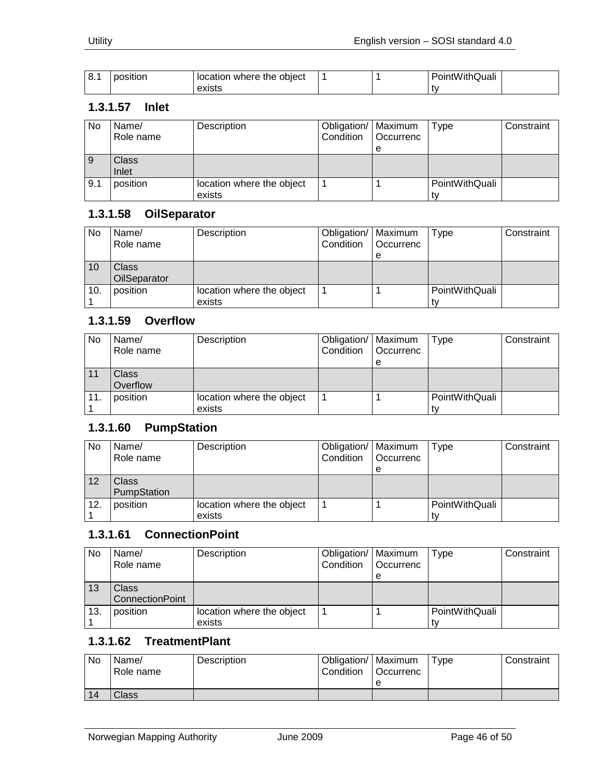| <sup>o</sup><br>o. | position | location where the object |  | $\cdots$ $\sim$<br>PointWithQuali |  |
|--------------------|----------|---------------------------|--|-----------------------------------|--|
|                    |          | exists                    |  |                                   |  |

#### <span id="page-45-0"></span>**1.3.1.57 Inlet**

| No  | Name/<br>Role name | Description                         | Obligation/   Maximum<br>Condition   Occurrenc | е | Type           | Constraint |
|-----|--------------------|-------------------------------------|------------------------------------------------|---|----------------|------------|
| 9   | Class<br>Inlet     |                                     |                                                |   |                |            |
| 9.1 | position           | location where the object<br>exists |                                                |   | PointWithQuali |            |

#### <span id="page-45-1"></span>**1.3.1.58 OilSeparator**

| No  | Name/<br>Role name    | Description                         | Obligation/   Maximum<br>Condition | <b>Occurrenc</b><br>е | Type           | Constraint |
|-----|-----------------------|-------------------------------------|------------------------------------|-----------------------|----------------|------------|
| 10  | Class<br>OilSeparator |                                     |                                    |                       |                |            |
| 10. | position              | location where the object<br>exists |                                    |                       | PointWithQuali |            |

#### <span id="page-45-2"></span>**1.3.1.59 Overflow**

| No | Name/     | Description               | Obligation/   Maximum |           | Type           | Constraint |
|----|-----------|---------------------------|-----------------------|-----------|----------------|------------|
|    | Role name |                           | Condition             | Occurrenc |                |            |
|    |           |                           |                       | e         |                |            |
|    | Class     |                           |                       |           |                |            |
|    | Overflow  |                           |                       |           |                |            |
| 11 | position  | location where the object |                       |           | PointWithQuali |            |
|    |           | exists                    |                       |           | t٧             |            |

#### <span id="page-45-3"></span>**1.3.1.60 PumpStation**

| No  | Name/<br>Role name | Description               | Obligation/   Maximum<br>Condition | Occurrenc | Type           | Constraint |
|-----|--------------------|---------------------------|------------------------------------|-----------|----------------|------------|
|     |                    |                           |                                    | е         |                |            |
| 12  | Class              |                           |                                    |           |                |            |
|     | PumpStation        |                           |                                    |           |                |            |
| 12. | position           | location where the object |                                    |           | PointWithQuali |            |
|     |                    | exists                    |                                    |           |                |            |

### <span id="page-45-4"></span>**1.3.1.61 ConnectionPoint**

| No  | Name/                  | Description               | Obligation/   Maximum |                  | Type           | Constraint |
|-----|------------------------|---------------------------|-----------------------|------------------|----------------|------------|
|     | Role name              |                           | Condition             | <b>Occurrenc</b> |                |            |
|     |                        |                           |                       | е                |                |            |
| 13  | Class                  |                           |                       |                  |                |            |
|     | <b>ConnectionPoint</b> |                           |                       |                  |                |            |
| 13. | position               | location where the object |                       |                  | PointWithQuali |            |
|     |                        | exists                    |                       |                  |                |            |

#### <span id="page-45-5"></span>**1.3.1.62 TreatmentPlant**

| No | Name/<br>Role name | Description | Obligation/   Maximum<br>Condition | <b>Occurrenc</b> | $T$ ype | Constraint |
|----|--------------------|-------------|------------------------------------|------------------|---------|------------|
|    |                    |             |                                    | е                |         |            |
| 14 | Class              |             |                                    |                  |         |            |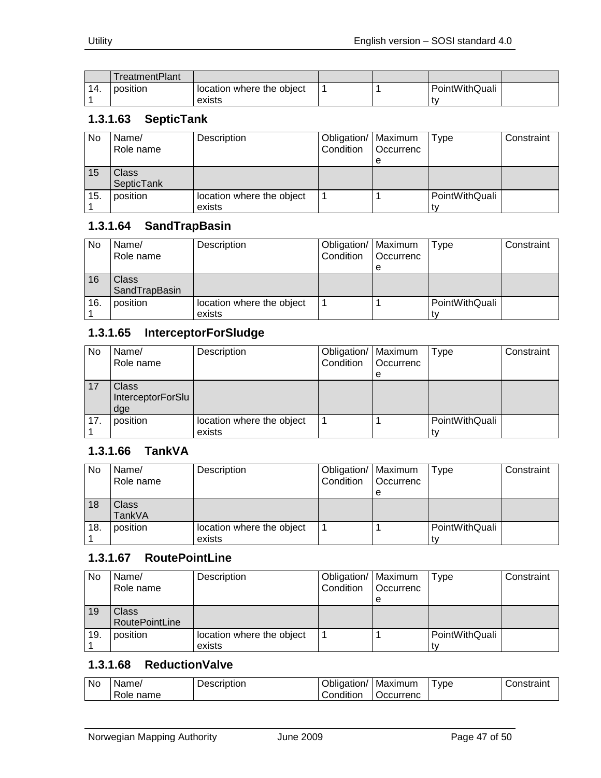|     | TreatmentPlant |                           |  |                |  |
|-----|----------------|---------------------------|--|----------------|--|
| 14. | position       | location where the object |  | PointWithQuali |  |
|     |                | exists                    |  | ' tv           |  |

#### <span id="page-46-0"></span>**1.3.1.63 SepticTank**

| No  | Name/<br>Role name | Description               | Obligation/   Maximum<br>Condition | <b>Occurrenc</b> | Type           | Constraint |
|-----|--------------------|---------------------------|------------------------------------|------------------|----------------|------------|
|     |                    |                           |                                    | е                |                |            |
| 15  | Class <sup>®</sup> |                           |                                    |                  |                |            |
|     | SepticTank         |                           |                                    |                  |                |            |
| 15. | position           | location where the object |                                    |                  | PointWithQuali |            |
|     |                    | exists                    |                                    |                  |                |            |

#### <span id="page-46-1"></span>**1.3.1.64 SandTrapBasin**

| No  | Name/<br>Role name     | Description                         | Obligation/   Maximum<br>Condition | <b>Occurrenc</b><br>е | Type           | Constraint |
|-----|------------------------|-------------------------------------|------------------------------------|-----------------------|----------------|------------|
| 16  | Class<br>SandTrapBasin |                                     |                                    |                       |                |            |
| 16. | position               | location where the object<br>exists |                                    |                       | PointWithQuali |            |

## <span id="page-46-2"></span>**1.3.1.65 InterceptorForSludge**

| No  | Name/<br>Role name                       | Description               | Obligation/   Maximum<br>Condition | Occurrenc | Type           | Constraint |
|-----|------------------------------------------|---------------------------|------------------------------------|-----------|----------------|------------|
|     |                                          |                           |                                    | e         |                |            |
| 17  | <b>Class</b><br>InterceptorForSlu<br>dge |                           |                                    |           |                |            |
| 17. | position                                 | location where the object |                                    |           | PointWithQuali |            |
|     |                                          | exists                    |                                    |           |                |            |

#### <span id="page-46-3"></span>**1.3.1.66 TankVA**

| <b>No</b> | Name/<br>Role name | Description               | Obligation/   Maximum<br>Condition | l Occurrenc | Type           | Constraint |
|-----------|--------------------|---------------------------|------------------------------------|-------------|----------------|------------|
|           |                    |                           |                                    | e           |                |            |
| 18        | Class              |                           |                                    |             |                |            |
|           | TankVA             |                           |                                    |             |                |            |
| 18.       | position           | location where the object |                                    |             | PointWithQuali |            |
|           |                    | exists                    |                                    |             |                |            |

#### <span id="page-46-4"></span>**1.3.1.67 RoutePointLine**

| No  | Name/<br>Role name    | Description               | Obligation/   Maximum<br>Condition | <b>Occurrenc</b> | Type           | Constraint |
|-----|-----------------------|---------------------------|------------------------------------|------------------|----------------|------------|
|     |                       |                           |                                    | e                |                |            |
| 19  | Class                 |                           |                                    |                  |                |            |
|     | <b>RoutePointLine</b> |                           |                                    |                  |                |            |
| 19. | position              | location where the object |                                    |                  | PointWithQuali |            |
|     |                       | exists                    |                                    |                  |                |            |

## <span id="page-46-5"></span>**1.3.1.68 ReductionValve**

| <b>No</b> | lame,<br>∩ame<br>Role | .<br>∍≙ו<br><b>HDUOL</b><br>ולו<br>. | . .<br>/bligation/<br>.<br>⊃ondition | Maximum<br>Jccurrenc | vpe | $         -$ |
|-----------|-----------------------|--------------------------------------|--------------------------------------|----------------------|-----|--------------|
|-----------|-----------------------|--------------------------------------|--------------------------------------|----------------------|-----|--------------|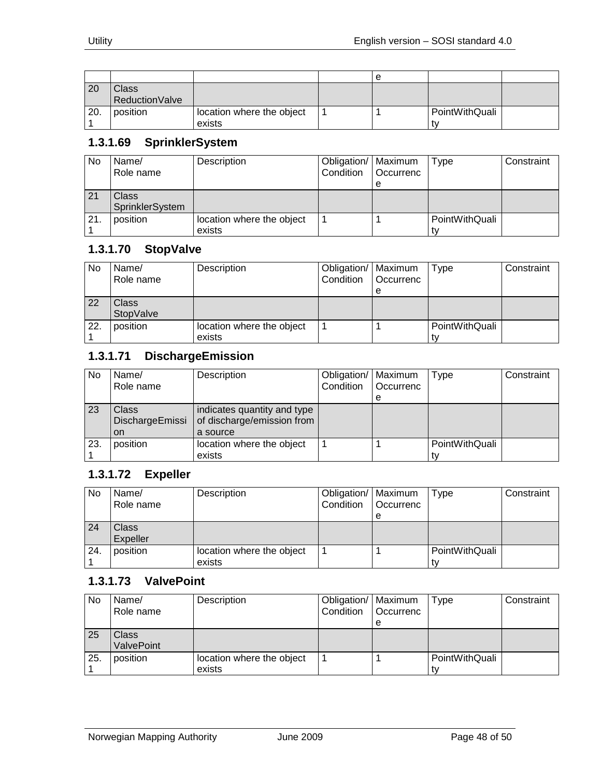|     |                |                           | е |                |  |
|-----|----------------|---------------------------|---|----------------|--|
| 20  | <b>Class</b>   |                           |   |                |  |
|     | ReductionValve |                           |   |                |  |
| 20. | position       | location where the object |   | PointWithQuali |  |
|     |                | exists                    |   | t٧             |  |

# <span id="page-47-0"></span>**1.3.1.69 SprinklerSystem**

| No  | Name/<br>Role name | Description               | Obligation/   Maximum<br>Condition | <b>Occurrenc</b> | Type           | Constraint |
|-----|--------------------|---------------------------|------------------------------------|------------------|----------------|------------|
|     |                    |                           |                                    | е                |                |            |
| 21  | Class              |                           |                                    |                  |                |            |
|     | SprinklerSystem    |                           |                                    |                  |                |            |
| 21. | position           | location where the object |                                    |                  | PointWithQuali |            |
|     |                    | exists                    |                                    |                  |                |            |

## <span id="page-47-1"></span>**1.3.1.70 StopValve**

| No  | Name/<br>Role name | Description                         | Obligation/   Maximum<br>Condition | <b>Occurrenc</b><br>e | Type           | Constraint |
|-----|--------------------|-------------------------------------|------------------------------------|-----------------------|----------------|------------|
| 22  | Class<br>StopValve |                                     |                                    |                       |                |            |
| 22. | position           | location where the object<br>exists |                                    |                       | PointWithQuali |            |

#### <span id="page-47-2"></span>**1.3.1.71 DischargeEmission**

| No  | Name/<br>Role name             | Description                                                           | Obligation/   Maximum<br>Condition | Occurrenc | Type           | Constraint |
|-----|--------------------------------|-----------------------------------------------------------------------|------------------------------------|-----------|----------------|------------|
|     |                                |                                                                       |                                    | e         |                |            |
| 23  | Class<br>DischargeEmissi<br>on | indicates quantity and type<br>of discharge/emission from<br>a source |                                    |           |                |            |
| 23. | position                       | location where the object                                             |                                    |           | PointWithQuali |            |
|     |                                | exists                                                                |                                    |           |                |            |

# <span id="page-47-3"></span>**1.3.1.72 Expeller**

| No  | Name/     | Description               | Obligation/   Maximum |             | Type           | Constraint |
|-----|-----------|---------------------------|-----------------------|-------------|----------------|------------|
|     | Role name |                           | Condition             | l Occurrenc |                |            |
|     |           |                           |                       | е           |                |            |
| 24  | Class     |                           |                       |             |                |            |
|     | Expeller  |                           |                       |             |                |            |
| 24. | position  | location where the object |                       |             | PointWithQuali |            |
|     |           | exists                    |                       |             |                |            |

#### <span id="page-47-4"></span>**1.3.1.73 ValvePoint**

| No  | Name/<br>Role name | Description               | Obligation/   Maximum<br>Condition | <b>Occurrenc</b> | Type           | Constraint |
|-----|--------------------|---------------------------|------------------------------------|------------------|----------------|------------|
|     |                    |                           |                                    | e                |                |            |
| 25  | <b>Class</b>       |                           |                                    |                  |                |            |
|     | <b>ValvePoint</b>  |                           |                                    |                  |                |            |
| 25. | position           | location where the object |                                    |                  | PointWithQuali |            |
|     |                    | exists                    |                                    |                  |                |            |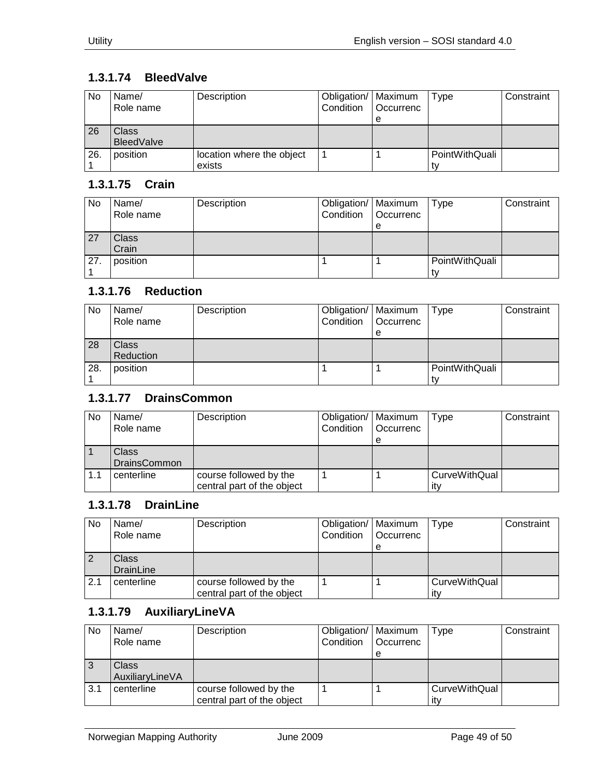## <span id="page-48-0"></span>**1.3.1.74 BleedValve**

| No  | Name/<br>Role name | Description               | Obligation/   Maximum<br>Condition | <b>Occurrenc</b> | Type           | Constraint |
|-----|--------------------|---------------------------|------------------------------------|------------------|----------------|------------|
|     |                    |                           |                                    | e                |                |            |
| 26  | Class              |                           |                                    |                  |                |            |
|     | <b>BleedValve</b>  |                           |                                    |                  |                |            |
| 26. | position           | location where the object |                                    |                  | PointWithQuali |            |
|     |                    | exists                    |                                    |                  |                |            |

#### <span id="page-48-1"></span>**1.3.1.75 Crain**

| No  | Name/<br>Role name | Description | Obligation/   Maximum<br>Condition | Occurrenc<br>e | Type           | Constraint |
|-----|--------------------|-------------|------------------------------------|----------------|----------------|------------|
| 27  | Class<br>Crain     |             |                                    |                |                |            |
| 27. | position           |             |                                    |                | PointWithQuali |            |

# <span id="page-48-2"></span>**1.3.1.76 Reduction**

| No  | Name/<br>Role name        | Description | Obligation/   Maximum<br>Condition | <b>Occurrenc</b><br>е | <b>Type</b>          | Constraint |
|-----|---------------------------|-------------|------------------------------------|-----------------------|----------------------|------------|
| 28  | <b>Class</b><br>Reduction |             |                                    |                       |                      |            |
| 28. | position                  |             |                                    |                       | PointWithQuali<br>t۷ |            |

#### <span id="page-48-3"></span>**1.3.1.77 DrainsCommon**

| No  | Name/               | Description                | Obligation/   Maximum |             | Type          | Constraint |
|-----|---------------------|----------------------------|-----------------------|-------------|---------------|------------|
|     | Role name           |                            | Condition             | l Occurrenc |               |            |
|     |                     |                            |                       | е           |               |            |
|     | Class               |                            |                       |             |               |            |
|     | <b>DrainsCommon</b> |                            |                       |             |               |            |
| 1.1 | centerline          | course followed by the     |                       |             | CurveWithQual |            |
|     |                     | central part of the object |                       |             | itv           |            |

#### <span id="page-48-4"></span>**1.3.1.78 DrainLine**

| No  | Name/<br>Role name        | Description                                          | Obligation/   Maximum<br>Condition | <b>Occurrenc</b><br>е | <b>Type</b>                 | Constraint |
|-----|---------------------------|------------------------------------------------------|------------------------------------|-----------------------|-----------------------------|------------|
|     | <b>Class</b><br>DrainLine |                                                      |                                    |                       |                             |            |
| 2.1 | centerline                | course followed by the<br>central part of the object |                                    |                       | <b>CurveWithQual</b><br>itv |            |

#### <span id="page-48-5"></span>**1.3.1.79 AuxiliaryLineVA**

| No  | Name/           | Description                | Obligation/   Maximum |                  | Type                 | Constraint |
|-----|-----------------|----------------------------|-----------------------|------------------|----------------------|------------|
|     | Role name       |                            | Condition             | <b>Occurrenc</b> |                      |            |
|     |                 |                            |                       | е                |                      |            |
| 3   | <b>Class</b>    |                            |                       |                  |                      |            |
|     | AuxiliaryLineVA |                            |                       |                  |                      |            |
| 3.1 | centerline      | course followed by the     |                       |                  | <b>CurveWithQual</b> |            |
|     |                 | central part of the object |                       |                  | itv                  |            |